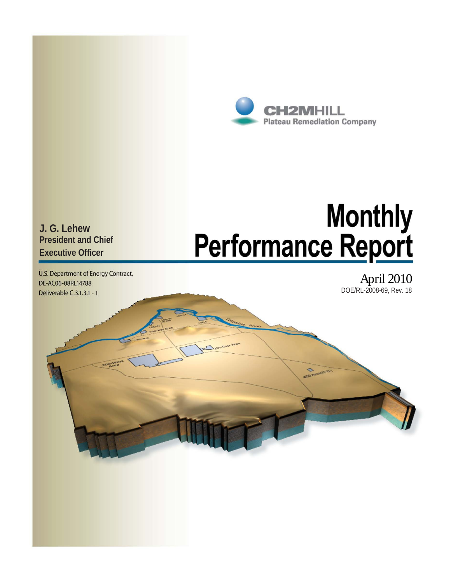

Monthly<br>Performance Report

 $\mathbf{\hat{c}}$ 

**J. G. Lehew President and Chief Executive Officer** 

U.S. Department of Energy Contract, DE-AC06-08RL14788 Deliverable C.3.1.3.1 - 1

April 2010 DOE/RL-2008-69, Rev. 18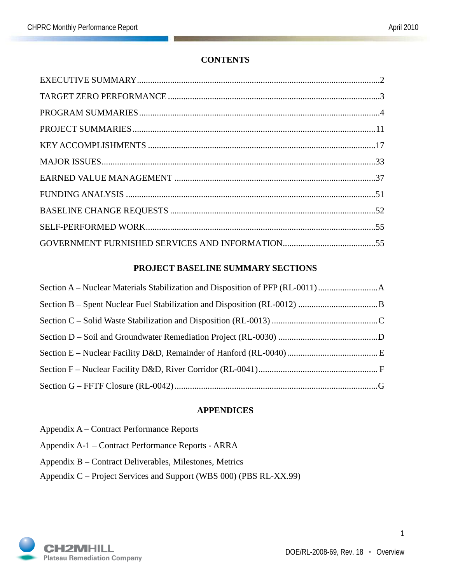## **CONTENTS**

### **PROJECT BASELINE SUMMARY SECTIONS**

#### **APPENDICES**

Appendix A – Contract Performance Reports Appendix A-1 – Contract Performance Reports - ARRA Appendix B – Contract Deliverables, Milestones, Metrics Appendix C – Project Services and Support (WBS 000) (PBS RL-XX.99)

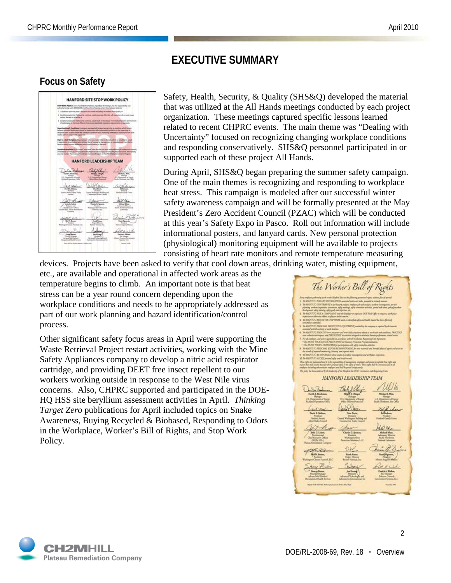# **EXECUTIVE SUMMARY**

## **Focus on Safety**



Safety, Health, Security, & Quality (SHS&Q) developed the material that was utilized at the All Hands meetings conducted by each project organization. These meetings captured specific lessons learned related to recent CHPRC events. The main theme was "Dealing with Uncertainty" focused on recognizing changing workplace conditions and responding conservatively. SHS&Q personnel participated in or supported each of these project All Hands.

During April, SHS&Q began preparing the summer safety campaign. One of the main themes is recognizing and responding to workplace heat stress. This campaign is modeled after our successful winter safety awareness campaign and will be formally presented at the May President's Zero Accident Council (PZAC) which will be conducted at this year's Safety Expo in Pasco. Roll out information will include informational posters, and lanyard cards. New personal protection (physiological) monitoring equipment will be available to projects consisting of heart rate monitors and remote temperature measuring

devices. Projects have been asked to verify that cool down areas, drinking water, misting equipment, etc., are available and operational in affected work areas as the temperature begins to climb. An important note is that heat stress can be a year round concern depending upon the workplace conditions and needs to be appropriately addressed as part of our work planning and hazard identification/control process.

Other significant safety focus areas in April were supporting the Waste Retrieval Project restart activities, working with the Mine Safety Appliances company to develop a nitric acid respirator cartridge, and providing DEET free insect repellent to our workers working outside in response to the West Nile virus concerns. Also, CHPRC supported and participated in the DOE-HQ HSS site beryllium assessment activities in April. *Thinking Target Zero* publications for April included topics on Snake Awareness, Buying Recycled & Biobased, Responding to Odors in the Workplace, Worker's Bill of Rights, and Stop Work Policy.

The Worker's Bill of Rights **HANFORD LEADERSHIP TEAM**  $z/2$ **Synthesis** 

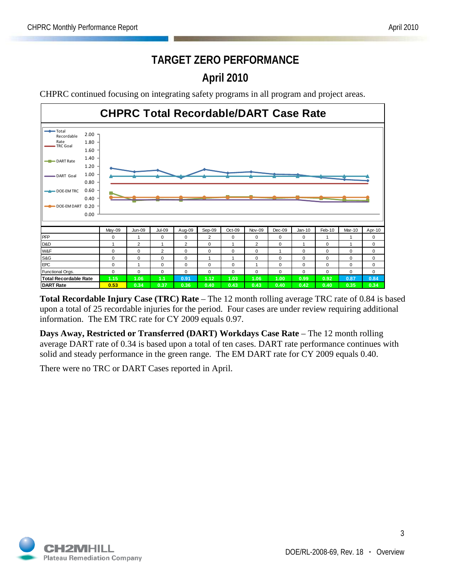# **TARGET ZERO PERFORMANCE April 2010**

CHPRC continued focusing on integrating safety programs in all program and project areas.



**Total Recordable Injury Case (TRC) Rate** – The 12 month rolling average TRC rate of 0.84 is based upon a total of 25 recordable injuries for the period. Four cases are under review requiring additional information. The EM TRC rate for CY 2009 equals 0.97.

**Days Away, Restricted or Transferred (DART) Workdays Case Rate** – The 12 month rolling average DART rate of 0.34 is based upon a total of ten cases. DART rate performance continues with solid and steady performance in the green range. The EM DART rate for CY 2009 equals 0.40.

There were no TRC or DART Cases reported in April.

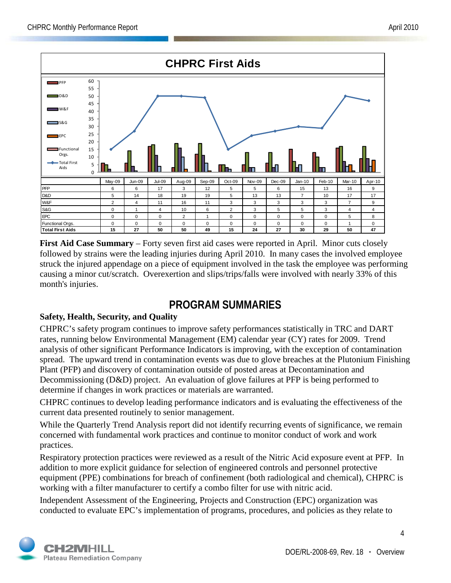

**First Aid Case Summary** – Forty seven first aid cases were reported in April. Minor cuts closely followed by strains were the leading injuries during April 2010. In many cases the involved employee struck the injured appendage on a piece of equipment involved in the task the employee was performing causing a minor cut/scratch. Overexertion and slips/trips/falls were involved with nearly 33% of this month's injuries.

## **PROGRAM SUMMARIES**

## **Safety, Health, Security, and Quality**

CHPRC's safety program continues to improve safety performances statistically in TRC and DART rates, running below Environmental Management (EM) calendar year (CY) rates for 2009. Trend analysis of other significant Performance Indicators is improving, with the exception of contamination spread. The upward trend in contamination events was due to glove breaches at the Plutonium Finishing Plant (PFP) and discovery of contamination outside of posted areas at Decontamination and Decommissioning (D&D) project. An evaluation of glove failures at PFP is being performed to determine if changes in work practices or materials are warranted.

CHPRC continues to develop leading performance indicators and is evaluating the effectiveness of the current data presented routinely to senior management.

While the Quarterly Trend Analysis report did not identify recurring events of significance, we remain concerned with fundamental work practices and continue to monitor conduct of work and work practices.

Respiratory protection practices were reviewed as a result of the Nitric Acid exposure event at PFP. In addition to more explicit guidance for selection of engineered controls and personnel protective equipment (PPE) combinations for breach of confinement (both radiological and chemical), CHPRC is working with a filter manufacturer to certify a combo filter for use with nitric acid.

Independent Assessment of the Engineering, Projects and Construction (EPC) organization was conducted to evaluate EPC's implementation of programs, procedures, and policies as they relate to

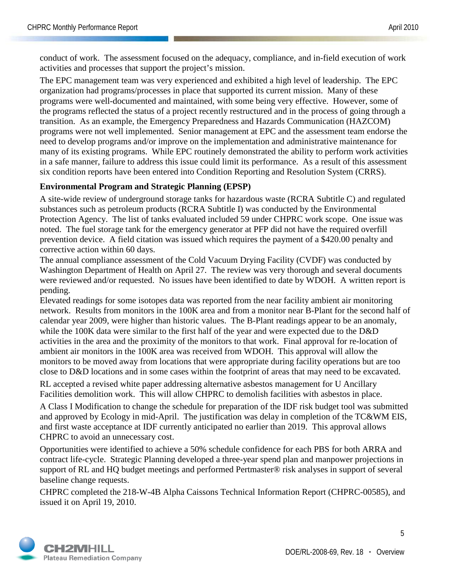conduct of work. The assessment focused on the adequacy, compliance, and in-field execution of work activities and processes that support the project's mission.

The EPC management team was very experienced and exhibited a high level of leadership. The EPC organization had programs/processes in place that supported its current mission. Many of these programs were well-documented and maintained, with some being very effective. However, some of the programs reflected the status of a project recently restructured and in the process of going through a transition. As an example, the Emergency Preparedness and Hazards Communication (HAZCOM) programs were not well implemented. Senior management at EPC and the assessment team endorse the need to develop programs and/or improve on the implementation and administrative maintenance for many of its existing programs. While EPC routinely demonstrated the ability to perform work activities in a safe manner, failure to address this issue could limit its performance. As a result of this assessment six condition reports have been entered into Condition Reporting and Resolution System (CRRS).

#### **Environmental Program and Strategic Planning (EPSP)**

A site-wide review of underground storage tanks for hazardous waste (RCRA Subtitle C) and regulated substances such as petroleum products (RCRA Subtitle I) was conducted by the Environmental Protection Agency. The list of tanks evaluated included 59 under CHPRC work scope. One issue was noted. The fuel storage tank for the emergency generator at PFP did not have the required overfill prevention device. A field citation was issued which requires the payment of a \$420.00 penalty and corrective action within 60 days.

The annual compliance assessment of the Cold Vacuum Drying Facility (CVDF) was conducted by Washington Department of Health on April 27. The review was very thorough and several documents were reviewed and/or requested. No issues have been identified to date by WDOH. A written report is pending.

Elevated readings for some isotopes data was reported from the near facility ambient air monitoring network. Results from monitors in the 100K area and from a monitor near B-Plant for the second half of calendar year 2009, were higher than historic values. The B-Plant readings appear to be an anomaly, while the 100K data were similar to the first half of the year and were expected due to the D&D activities in the area and the proximity of the monitors to that work. Final approval for re-location of ambient air monitors in the 100K area was received from WDOH. This approval will allow the monitors to be moved away from locations that were appropriate during facility operations but are too close to D&D locations and in some cases within the footprint of areas that may need to be excavated.

RL accepted a revised white paper addressing alternative asbestos management for U Ancillary Facilities demolition work. This will allow CHPRC to demolish facilities with asbestos in place.

A Class I Modification to change the schedule for preparation of the IDF risk budget tool was submitted and approved by Ecology in mid-April. The justification was delay in completion of the TC&WM EIS, and first waste acceptance at IDF currently anticipated no earlier than 2019. This approval allows CHPRC to avoid an unnecessary cost.

Opportunities were identified to achieve a 50% schedule confidence for each PBS for both ARRA and contract life-cycle. Strategic Planning developed a three-year spend plan and manpower projections in support of RL and HQ budget meetings and performed Pertmaster® risk analyses in support of several baseline change requests.

CHPRC completed the 218-W-4B Alpha Caissons Technical Information Report (CHPRC-00585), and issued it on April 19, 2010.

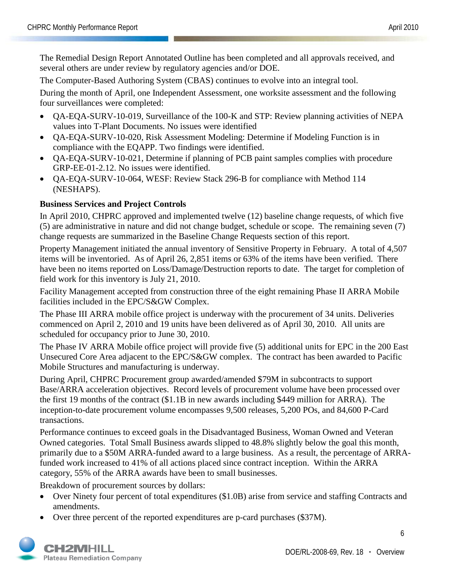The Remedial Design Report Annotated Outline has been completed and all approvals received, and several others are under review by regulatory agencies and/or DOE.

The Computer-Based Authoring System (CBAS) continues to evolve into an integral tool.

During the month of April, one Independent Assessment, one worksite assessment and the following four surveillances were completed:

- QA-EQA-SURV-10-019, Surveillance of the 100-K and STP: Review planning activities of NEPA values into T-Plant Documents. No issues were identified
- QA-EQA-SURV-10-020, Risk Assessment Modeling: Determine if Modeling Function is in compliance with the EQAPP. Two findings were identified.
- QA-EQA-SURV-10-021, Determine if planning of PCB paint samples complies with procedure GRP-EE-01-2.12. No issues were identified.
- OA-EOA-SURV-10-064, WESF: Review Stack 296-B for compliance with Method 114 (NESHAPS).

## **Business Services and Project Controls**

In April 2010, CHPRC approved and implemented twelve (12) baseline change requests, of which five (5) are administrative in nature and did not change budget, schedule or scope. The remaining seven (7) change requests are summarized in the Baseline Change Requests section of this report.

Property Management initiated the annual inventory of Sensitive Property in February. A total of 4,507 items will be inventoried. As of April 26, 2,851 items or 63% of the items have been verified. There have been no items reported on Loss/Damage/Destruction reports to date. The target for completion of field work for this inventory is July 21, 2010.

Facility Management accepted from construction three of the eight remaining Phase II ARRA Mobile facilities included in the EPC/S&GW Complex.

The Phase III ARRA mobile office project is underway with the procurement of 34 units. Deliveries commenced on April 2, 2010 and 19 units have been delivered as of April 30, 2010. All units are scheduled for occupancy prior to June 30, 2010.

The Phase IV ARRA Mobile office project will provide five (5) additional units for EPC in the 200 East Unsecured Core Area adjacent to the EPC/S&GW complex. The contract has been awarded to Pacific Mobile Structures and manufacturing is underway.

During April, CHPRC Procurement group awarded/amended \$79M in subcontracts to support Base/ARRA acceleration objectives. Record levels of procurement volume have been processed over the first 19 months of the contract (\$1.1B in new awards including \$449 million for ARRA). The inception-to-date procurement volume encompasses 9,500 releases, 5,200 POs, and 84,600 P-Card transactions.

Performance continues to exceed goals in the Disadvantaged Business, Woman Owned and Veteran Owned categories. Total Small Business awards slipped to 48.8% slightly below the goal this month, primarily due to a \$50M ARRA-funded award to a large business. As a result, the percentage of ARRAfunded work increased to 41% of all actions placed since contract inception. Within the ARRA category, 55% of the ARRA awards have been to small businesses.

Breakdown of procurement sources by dollars:

- Over Ninety four percent of total expenditures (\$1.0B) arise from service and staffing Contracts and amendments.
- Over three percent of the reported expenditures are p-card purchases (\$37M).

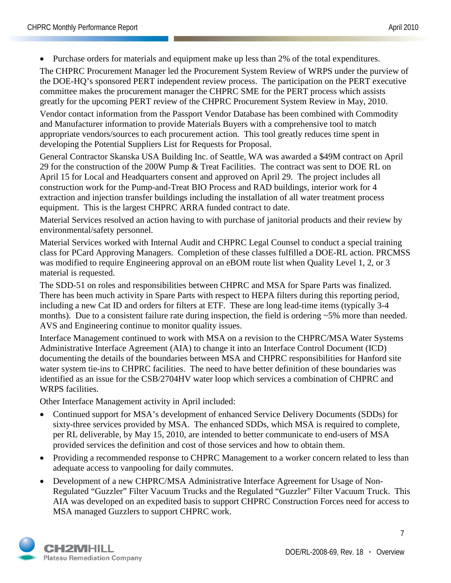• Purchase orders for materials and equipment make up less than 2% of the total expenditures.

The CHPRC Procurement Manager led the Procurement System Review of WRPS under the purview of the DOE-HQ's sponsored PERT independent review process. The participation on the PERT executive committee makes the procurement manager the CHPRC SME for the PERT process which assists greatly for the upcoming PERT review of the CHPRC Procurement System Review in May, 2010.

Vendor contact information from the Passport Vendor Database has been combined with Commodity and Manufacturer information to provide Materials Buyers with a comprehensive tool to match appropriate vendors/sources to each procurement action. This tool greatly reduces time spent in developing the Potential Suppliers List for Requests for Proposal.

General Contractor Skanska USA Building Inc. of Seattle, WA was awarded a \$49M contract on April 29 for the construction of the 200W Pump & Treat Facilities. The contract was sent to DOE RL on April 15 for Local and Headquarters consent and approved on April 29. The project includes all construction work for the Pump-and-Treat BIO Process and RAD buildings, interior work for 4 extraction and injection transfer buildings including the installation of all water treatment process equipment. This is the largest CHPRC ARRA funded contract to date.

Material Services resolved an action having to with purchase of janitorial products and their review by environmental/safety personnel.

Material Services worked with Internal Audit and CHPRC Legal Counsel to conduct a special training class for PCard Approving Managers. Completion of these classes fulfilled a DOE-RL action. PRCMSS was modified to require Engineering approval on an eBOM route list when Quality Level 1, 2, or 3 material is requested.

The SDD-51 on roles and responsibilities between CHPRC and MSA for Spare Parts was finalized. There has been much activity in Spare Parts with respect to HEPA filters during this reporting period, including a new Cat ID and orders for filters at ETF. These are long lead-time items (typically 3-4 months). Due to a consistent failure rate during inspection, the field is ordering ~5% more than needed. AVS and Engineering continue to monitor quality issues.

Interface Management continued to work with MSA on a revision to the CHPRC/MSA Water Systems Administrative Interface Agreement (AIA) to change it into an Interface Control Document (ICD) documenting the details of the boundaries between MSA and CHPRC responsibilities for Hanford site water system tie-ins to CHPRC facilities. The need to have better definition of these boundaries was identified as an issue for the CSB/2704HV water loop which services a combination of CHPRC and WRPS facilities.

Other Interface Management activity in April included:

- Continued support for MSA's development of enhanced Service Delivery Documents (SDDs) for sixty-three services provided by MSA. The enhanced SDDs, which MSA is required to complete, per RL deliverable, by May 15, 2010, are intended to better communicate to end-users of MSA provided services the definition and cost of those services and how to obtain them.
- Providing a recommended response to CHPRC Management to a worker concern related to less than adequate access to vanpooling for daily commutes.
- Development of a new CHPRC/MSA Administrative Interface Agreement for Usage of Non-Regulated "Guzzler" Filter Vacuum Trucks and the Regulated "Guzzler" Filter Vacuum Truck. This AIA was developed on an expedited basis to support CHPRC Construction Forces need for access to MSA managed Guzzlers to support CHPRC work.

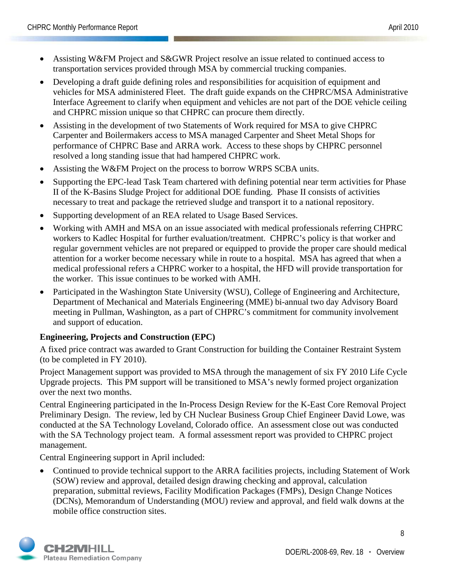- Assisting W&FM Project and S&GWR Project resolve an issue related to continued access to transportation services provided through MSA by commercial trucking companies.
- Developing a draft guide defining roles and responsibilities for acquisition of equipment and vehicles for MSA administered Fleet. The draft guide expands on the CHPRC/MSA Administrative Interface Agreement to clarify when equipment and vehicles are not part of the DOE vehicle ceiling and CHPRC mission unique so that CHPRC can procure them directly.
- Assisting in the development of two Statements of Work required for MSA to give CHPRC Carpenter and Boilermakers access to MSA managed Carpenter and Sheet Metal Shops for performance of CHPRC Base and ARRA work. Access to these shops by CHPRC personnel resolved a long standing issue that had hampered CHPRC work.
- Assisting the W&FM Project on the process to borrow WRPS SCBA units.
- Supporting the EPC-lead Task Team chartered with defining potential near term activities for Phase II of the K-Basins Sludge Project for additional DOE funding. Phase II consists of activities necessary to treat and package the retrieved sludge and transport it to a national repository.
- Supporting development of an REA related to Usage Based Services.
- Working with AMH and MSA on an issue associated with medical professionals referring CHPRC workers to Kadlec Hospital for further evaluation/treatment. CHPRC's policy is that worker and regular government vehicles are not prepared or equipped to provide the proper care should medical attention for a worker become necessary while in route to a hospital. MSA has agreed that when a medical professional refers a CHPRC worker to a hospital, the HFD will provide transportation for the worker. This issue continues to be worked with AMH.
- Participated in the Washington State University (WSU), College of Engineering and Architecture, Department of Mechanical and Materials Engineering (MME) bi-annual two day Advisory Board meeting in Pullman, Washington, as a part of CHPRC's commitment for community involvement and support of education.

## **Engineering, Projects and Construction (EPC)**

A fixed price contract was awarded to Grant Construction for building the Container Restraint System (to be completed in FY 2010).

Project Management support was provided to MSA through the management of six FY 2010 Life Cycle Upgrade projects. This PM support will be transitioned to MSA's newly formed project organization over the next two months.

Central Engineering participated in the In-Process Design Review for the K-East Core Removal Project Preliminary Design. The review, led by CH Nuclear Business Group Chief Engineer David Lowe, was conducted at the SA Technology Loveland, Colorado office. An assessment close out was conducted with the SA Technology project team. A formal assessment report was provided to CHPRC project management.

Central Engineering support in April included:

• Continued to provide technical support to the ARRA facilities projects, including Statement of Work (SOW) review and approval, detailed design drawing checking and approval, calculation preparation, submittal reviews, Facility Modification Packages (FMPs), Design Change Notices (DCNs), Memorandum of Understanding (MOU) review and approval, and field walk downs at the mobile office construction sites.

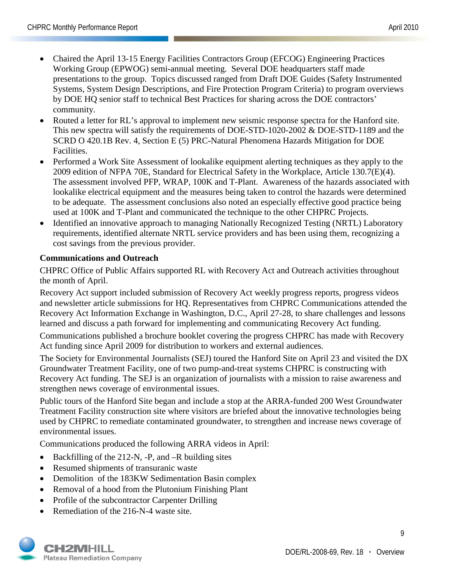- Chaired the April 13-15 Energy Facilities Contractors Group (EFCOG) Engineering Practices Working Group (EPWOG) semi-annual meeting. Several DOE headquarters staff made presentations to the group. Topics discussed ranged from Draft DOE Guides (Safety Instrumented Systems, System Design Descriptions, and Fire Protection Program Criteria) to program overviews by DOE HQ senior staff to technical Best Practices for sharing across the DOE contractors' community.
- Routed a letter for RL's approval to implement new seismic response spectra for the Hanford site. This new spectra will satisfy the requirements of DOE-STD-1020-2002 & DOE-STD-1189 and the SCRD O 420.1B Rev. 4, Section E (5) PRC-Natural Phenomena Hazards Mitigation for DOE Facilities.
- Performed a Work Site Assessment of lookalike equipment alerting techniques as they apply to the 2009 edition of NFPA 70E, Standard for Electrical Safety in the Workplace, Article 130.7(E)(4). The assessment involved PFP, WRAP, 100K and T-Plant. Awareness of the hazards associated with lookalike electrical equipment and the measures being taken to control the hazards were determined to be adequate. The assessment conclusions also noted an especially effective good practice being used at 100K and T-Plant and communicated the technique to the other CHPRC Projects.
- Identified an innovative approach to managing Nationally Recognized Testing (NRTL) Laboratory requirements, identified alternate NRTL service providers and has been using them, recognizing a cost savings from the previous provider.

#### **Communications and Outreach**

CHPRC Office of Public Affairs supported RL with Recovery Act and Outreach activities throughout the month of April.

Recovery Act support included submission of Recovery Act weekly progress reports, progress videos and newsletter article submissions for HQ. Representatives from CHPRC Communications attended the Recovery Act Information Exchange in Washington, D.C., April 27-28, to share challenges and lessons learned and discuss a path forward for implementing and communicating Recovery Act funding.

Communications published a brochure booklet covering the progress CHPRC has made with Recovery Act funding since April 2009 for distribution to workers and external audiences.

The Society for Environmental Journalists (SEJ) toured the Hanford Site on April 23 and visited the DX Groundwater Treatment Facility, one of two pump-and-treat systems CHPRC is constructing with Recovery Act funding. The SEJ is an organization of journalists with a mission to raise awareness and strengthen news coverage of environmental issues.

Public tours of the Hanford Site began and include a stop at the ARRA-funded 200 West Groundwater Treatment Facility construction site where visitors are briefed about the innovative technologies being used by CHPRC to remediate contaminated groundwater, to strengthen and increase news coverage of environmental issues.

Communications produced the following ARRA videos in April:

- Backfilling of the 212-N, -P, and -R building sites
- Resumed shipments of transuranic waste
- Demolition of the 183KW Sedimentation Basin complex
- Removal of a hood from the Plutonium Finishing Plant
- Profile of the subcontractor Carpenter Drilling
- Remediation of the 216-N-4 waste site.

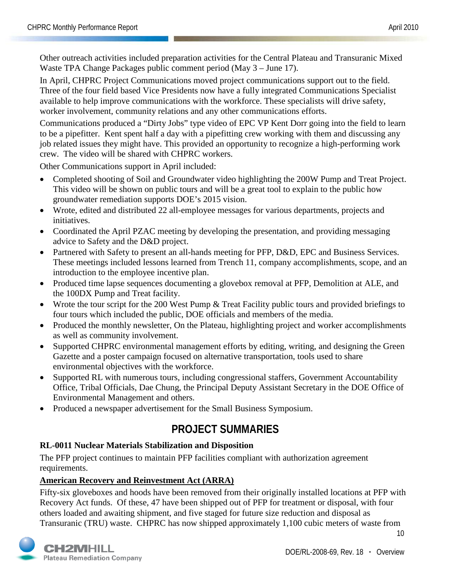Other outreach activities included preparation activities for the Central Plateau and Transuranic Mixed Waste TPA Change Packages public comment period (May 3 – June 17).

In April, CHPRC Project Communications moved project communications support out to the field. Three of the four field based Vice Presidents now have a fully integrated Communications Specialist available to help improve communications with the workforce. These specialists will drive safety, worker involvement, community relations and any other communications efforts.

Communications produced a "Dirty Jobs" type video of EPC VP Kent Dorr going into the field to learn to be a pipefitter. Kent spent half a day with a pipefitting crew working with them and discussing any job related issues they might have. This provided an opportunity to recognize a high-performing work crew. The video will be shared with CHPRC workers.

Other Communications support in April included:

- Completed shooting of Soil and Groundwater video highlighting the 200W Pump and Treat Project. This video will be shown on public tours and will be a great tool to explain to the public how groundwater remediation supports DOE's 2015 vision.
- Wrote, edited and distributed 22 all-employee messages for various departments, projects and initiatives.
- Coordinated the April PZAC meeting by developing the presentation, and providing messaging advice to Safety and the D&D project.
- Partnered with Safety to present an all-hands meeting for PFP, D&D, EPC and Business Services. These meetings included lessons learned from Trench 11, company accomplishments, scope, and an introduction to the employee incentive plan.
- Produced time lapse sequences documenting a glovebox removal at PFP, Demolition at ALE, and the 100DX Pump and Treat facility.
- Wrote the tour script for the 200 West Pump & Treat Facility public tours and provided briefings to four tours which included the public, DOE officials and members of the media.
- Produced the monthly newsletter, On the Plateau, highlighting project and worker accomplishments as well as community involvement.
- Supported CHPRC environmental management efforts by editing, writing, and designing the Green Gazette and a poster campaign focused on alternative transportation, tools used to share environmental objectives with the workforce.
- Supported RL with numerous tours, including congressional staffers, Government Accountability Office, Tribal Officials, Dae Chung, the Principal Deputy Assistant Secretary in the DOE Office of Environmental Management and others.
- Produced a newspaper advertisement for the Small Business Symposium.

## **PROJECT SUMMARIES**

## **RL-0011 Nuclear Materials Stabilization and Disposition**

The PFP project continues to maintain PFP facilities compliant with authorization agreement requirements.

## **American Recovery and Reinvestment Act (ARRA)**

Fifty-six gloveboxes and hoods have been removed from their originally installed locations at PFP with Recovery Act funds. Of these, 47 have been shipped out of PFP for treatment or disposal, with four others loaded and awaiting shipment, and five staged for future size reduction and disposal as Transuranic (TRU) waste. CHPRC has now shipped approximately 1,100 cubic meters of waste from



DOE/RL-2008-69, Rev. 18 **·** Overview

10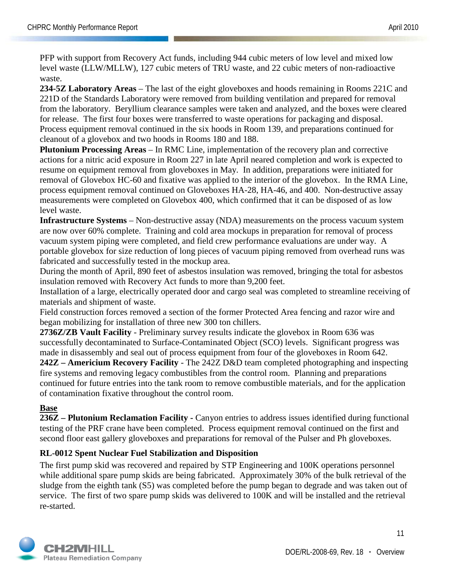PFP with support from Recovery Act funds, including 944 cubic meters of low level and mixed low level waste (LLW/MLLW), 127 cubic meters of TRU waste, and 22 cubic meters of non-radioactive waste.

**234-5Z Laboratory Areas** – The last of the eight gloveboxes and hoods remaining in Rooms 221C and 221D of the Standards Laboratory were removed from building ventilation and prepared for removal from the laboratory. Beryllium clearance samples were taken and analyzed, and the boxes were cleared for release. The first four boxes were transferred to waste operations for packaging and disposal. Process equipment removal continued in the six hoods in Room 139, and preparations continued for cleanout of a glovebox and two hoods in Rooms 180 and 188.

**Plutonium Processing Areas** – In RMC Line, implementation of the recovery plan and corrective actions for a nitric acid exposure in Room 227 in late April neared completion and work is expected to resume on equipment removal from gloveboxes in May. In addition, preparations were initiated for removal of Glovebox HC-60 and fixative was applied to the interior of the glovebox. In the RMA Line, process equipment removal continued on Gloveboxes HA-28, HA-46, and 400. Non-destructive assay measurements were completed on Glovebox 400, which confirmed that it can be disposed of as low level waste.

**Infrastructure Systems** – Non-destructive assay (NDA) measurements on the process vacuum system are now over 60% complete. Training and cold area mockups in preparation for removal of process vacuum system piping were completed, and field crew performance evaluations are under way. A portable glovebox for size reduction of long pieces of vacuum piping removed from overhead runs was fabricated and successfully tested in the mockup area.

During the month of April, 890 feet of asbestos insulation was removed, bringing the total for asbestos insulation removed with Recovery Act funds to more than 9,200 feet.

Installation of a large, electrically operated door and cargo seal was completed to streamline receiving of materials and shipment of waste.

Field construction forces removed a section of the former Protected Area fencing and razor wire and began mobilizing for installation of three new 300 ton chillers.

**2736Z/ZB Vault Facility** - Preliminary survey results indicate the glovebox in Room 636 was successfully decontaminated to Surface-Contaminated Object (SCO) levels. Significant progress was made in disassembly and seal out of process equipment from four of the gloveboxes in Room 642.

**242Z – Americium Recovery Facility** - The 242Z D&D team completed photographing and inspecting fire systems and removing legacy combustibles from the control room. Planning and preparations continued for future entries into the tank room to remove combustible materials, and for the application of contamination fixative throughout the control room.

## **Base**

**236Z – Plutonium Reclamation Facility -** Canyon entries to address issues identified during functional testing of the PRF crane have been completed. Process equipment removal continued on the first and second floor east gallery gloveboxes and preparations for removal of the Pulser and Ph gloveboxes.

## **RL-0012 Spent Nuclear Fuel Stabilization and Disposition**

The first pump skid was recovered and repaired by STP Engineering and 100K operations personnel while additional spare pump skids are being fabricated. Approximately 30% of the bulk retrieval of the sludge from the eighth tank (S5) was completed before the pump began to degrade and was taken out of service. The first of two spare pump skids was delivered to 100K and will be installed and the retrieval re-started.

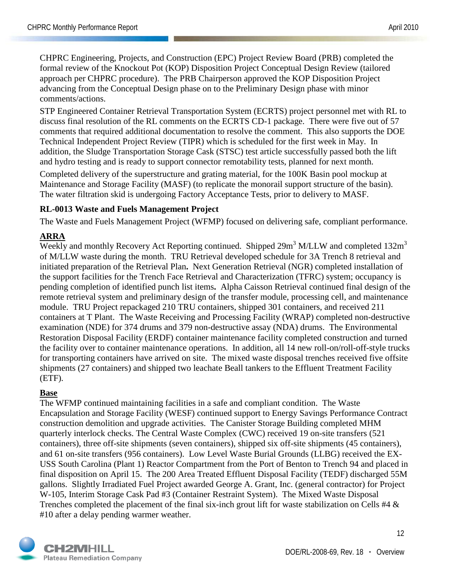CHPRC Engineering, Projects, and Construction (EPC) Project Review Board (PRB) completed the formal review of the Knockout Pot (KOP) Disposition Project Conceptual Design Review (tailored approach per CHPRC procedure). The PRB Chairperson approved the KOP Disposition Project advancing from the Conceptual Design phase on to the Preliminary Design phase with minor comments/actions.

STP Engineered Container Retrieval Transportation System (ECRTS) project personnel met with RL to discuss final resolution of the RL comments on the ECRTS CD-1 package. There were five out of 57 comments that required additional documentation to resolve the comment. This also supports the DOE Technical Independent Project Review (TIPR) which is scheduled for the first week in May. In addition, the Sludge Transportation Storage Cask (STSC) test article successfully passed both the lift and hydro testing and is ready to support connector remotability tests, planned for next month.

Completed delivery of the superstructure and grating material, for the 100K Basin pool mockup at Maintenance and Storage Facility (MASF) (to replicate the monorail support structure of the basin). The water filtration skid is undergoing Factory Acceptance Tests, prior to delivery to MASF.

#### **RL-0013 Waste and Fuels Management Project**

The Waste and Fuels Management Project (WFMP) focused on delivering safe, compliant performance.

## **ARRA**

Weekly and monthly Recovery Act Reporting continued. Shipped 29m<sup>3</sup> M/LLW and completed 132m<sup>3</sup> of M/LLW waste during the month. TRU Retrieval developed schedule for 3A Trench 8 retrieval and initiated preparation of the Retrieval Plan**.** Next Generation Retrieval (NGR) completed installation of the support facilities for the Trench Face Retrieval and Characterization (TFRC) system; occupancy is pending completion of identified punch list items**.** Alpha Caisson Retrieval continued final design of the remote retrieval system and preliminary design of the transfer module, processing cell, and maintenance module. TRU Project repackaged 210 TRU containers, shipped 301 containers, and received 211 containers at T Plant. The Waste Receiving and Processing Facility (WRAP) completed non-destructive examination (NDE) for 374 drums and 379 non-destructive assay (NDA) drums. The Environmental Restoration Disposal Facility (ERDF) container maintenance facility completed construction and turned the facility over to container maintenance operations. In addition, all 14 new roll-on/roll-off-style trucks for transporting containers have arrived on site. The mixed waste disposal trenches received five offsite shipments (27 containers) and shipped two leachate Beall tankers to the Effluent Treatment Facility (ETF).

## **Base**

The WFMP continued maintaining facilities in a safe and compliant condition. The Waste Encapsulation and Storage Facility (WESF) continued support to Energy Savings Performance Contract construction demolition and upgrade activities. The Canister Storage Building completed MHM quarterly interlock checks. The Central Waste Complex (CWC) received 19 on-site transfers (521 containers), three off-site shipments (seven containers), shipped six off-site shipments (45 containers), and 61 on-site transfers (956 containers). Low Level Waste Burial Grounds (LLBG) received the EX-USS South Carolina (Plant 1) Reactor Compartment from the Port of Benton to Trench 94 and placed in final disposition on April 15. The 200 Area Treated Effluent Disposal Facility (TEDF) discharged 55M gallons. Slightly Irradiated Fuel Project awarded George A. Grant, Inc. (general contractor) for Project W-105, Interim Storage Cask Pad #3 (Container Restraint System). The Mixed Waste Disposal Trenches completed the placement of the final six-inch grout lift for waste stabilization on Cells #4 & #10 after a delay pending warmer weather.

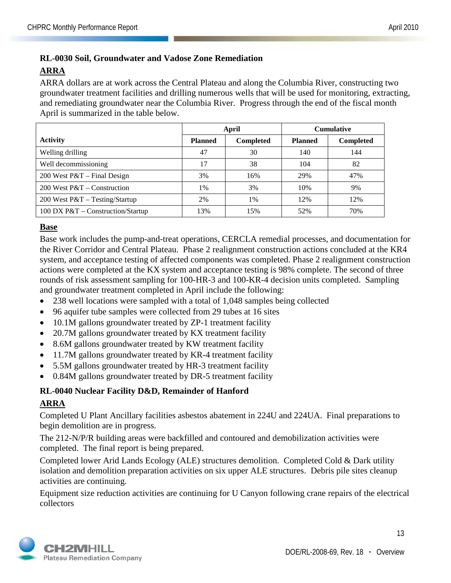## **RL-0030 Soil, Groundwater and Vadose Zone Remediation ARRA**

ARRA dollars are at work across the Central Plateau and along the Columbia River, constructing two groundwater treatment facilities and drilling numerous wells that will be used for monitoring, extracting, and remediating groundwater near the Columbia River. Progress through the end of the fiscal month April is summarized in the table below.

|                                     |                | April            | <b>Cumulative</b> |                  |  |
|-------------------------------------|----------------|------------------|-------------------|------------------|--|
| <b>Activity</b>                     | <b>Planned</b> | <b>Completed</b> | <b>Planned</b>    | <b>Completed</b> |  |
| Welling drilling                    | 47             | 30               | 140               | 144              |  |
| Well decommissioning                | 17             | 38               | 104               | 82               |  |
| 200 West $P&T$ – Final Design       | 3%             | 16%              | 29%               | 47%              |  |
| 200 West $P&T$ – Construction       | 1%             | 3%               | 10%               | 9%               |  |
| 200 West P&T - Testing/Startup      | 2%             | $1\%$            | 12%               | 12%              |  |
| 100 DX $P&T$ – Construction/Startup | 13%            | 15%              | 52%               | 70%              |  |

#### **Base**

Base work includes the pump-and-treat operations, CERCLA remedial processes, and documentation for the River Corridor and Central Plateau. Phase 2 realignment construction actions concluded at the KR4 system, and acceptance testing of affected components was completed. Phase 2 realignment construction actions were completed at the KX system and acceptance testing is 98% complete. The second of three rounds of risk assessment sampling for 100-HR-3 and 100-KR-4 decision units completed. Sampling and groundwater treatment completed in April include the following:

- 238 well locations were sampled with a total of 1,048 samples being collected
- 96 aquifer tube samples were collected from 29 tubes at 16 sites
- 10.1M gallons groundwater treated by ZP-1 treatment facility
- 20.7M gallons groundwater treated by KX treatment facility
- 8.6M gallons groundwater treated by KW treatment facility
- 11.7M gallons groundwater treated by KR-4 treatment facility
- 5.5M gallons groundwater treated by HR-3 treatment facility
- 0.84M gallons groundwater treated by DR-5 treatment facility

#### **RL-0040 Nuclear Facility D&D, Remainder of Hanford**

#### **ARRA**

Completed U Plant Ancillary facilities asbestos abatement in 224U and 224UA. Final preparations to begin demolition are in progress.

The 212-N/P/R building areas were backfilled and contoured and demobilization activities were completed. The final report is being prepared.

Completed lower Arid Lands Ecology (ALE) structures demolition. Completed Cold & Dark utility isolation and demolition preparation activities on six upper ALE structures. Debris pile sites cleanup activities are continuing.

Equipment size reduction activities are continuing for U Canyon following crane repairs of the electrical collectors

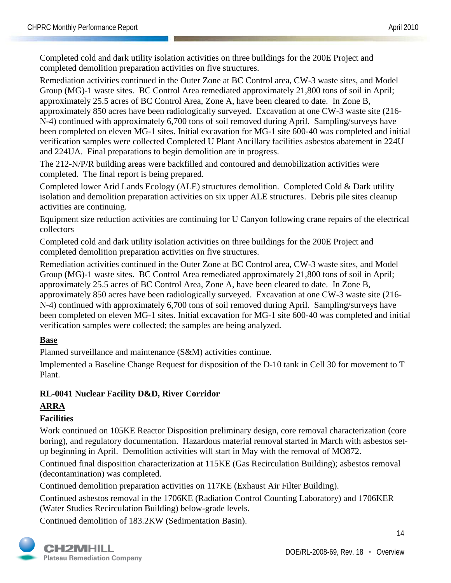Completed cold and dark utility isolation activities on three buildings for the 200E Project and completed demolition preparation activities on five structures.

Remediation activities continued in the Outer Zone at BC Control area, CW-3 waste sites, and Model Group (MG)-1 waste sites. BC Control Area remediated approximately 21,800 tons of soil in April; approximately 25.5 acres of BC Control Area, Zone A, have been cleared to date. In Zone B, approximately 850 acres have been radiologically surveyed. Excavation at one CW-3 waste site (216- N-4) continued with approximately 6,700 tons of soil removed during April. Sampling/surveys have been completed on eleven MG-1 sites. Initial excavation for MG-1 site 600-40 was completed and initial verification samples were collected Completed U Plant Ancillary facilities asbestos abatement in 224U and 224UA. Final preparations to begin demolition are in progress.

The 212-N/P/R building areas were backfilled and contoured and demobilization activities were completed. The final report is being prepared.

Completed lower Arid Lands Ecology (ALE) structures demolition. Completed Cold & Dark utility isolation and demolition preparation activities on six upper ALE structures. Debris pile sites cleanup activities are continuing.

Equipment size reduction activities are continuing for U Canyon following crane repairs of the electrical collectors

Completed cold and dark utility isolation activities on three buildings for the 200E Project and completed demolition preparation activities on five structures.

Remediation activities continued in the Outer Zone at BC Control area, CW-3 waste sites, and Model Group (MG)-1 waste sites. BC Control Area remediated approximately 21,800 tons of soil in April; approximately 25.5 acres of BC Control Area, Zone A, have been cleared to date. In Zone B, approximately 850 acres have been radiologically surveyed. Excavation at one CW-3 waste site (216- N-4) continued with approximately 6,700 tons of soil removed during April. Sampling/surveys have been completed on eleven MG-1 sites. Initial excavation for MG-1 site 600-40 was completed and initial verification samples were collected; the samples are being analyzed.

## **Base**

Planned surveillance and maintenance (S&M) activities continue.

Implemented a Baseline Change Request for disposition of the D-10 tank in Cell 30 for movement to T Plant.

## **RL-0041 Nuclear Facility D&D, River Corridor**

#### **ARRA**

#### **Facilities**

Work continued on 105KE Reactor Disposition preliminary design, core removal characterization (core boring), and regulatory documentation. Hazardous material removal started in March with asbestos setup beginning in April. Demolition activities will start in May with the removal of MO872.

Continued final disposition characterization at 115KE (Gas Recirculation Building); asbestos removal (decontamination) was completed.

Continued demolition preparation activities on 117KE (Exhaust Air Filter Building).

Continued asbestos removal in the 1706KE (Radiation Control Counting Laboratory) and 1706KER (Water Studies Recirculation Building) below-grade levels.

Continued demolition of 183.2KW (Sedimentation Basin).

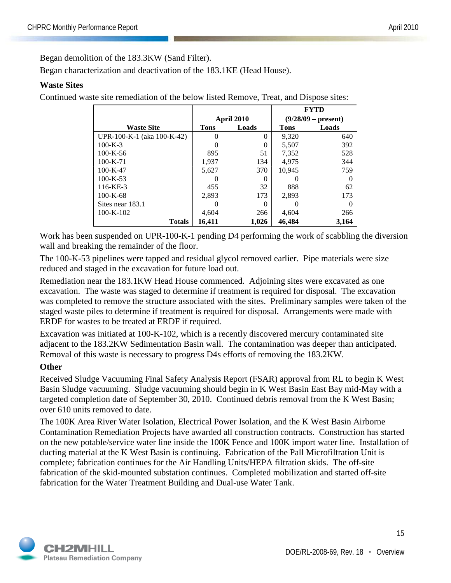Began demolition of the 183.3KW (Sand Filter).

Began characterization and deactivation of the 183.1KE (Head House).

### **Waste Sites**

Continued waste site remediation of the below listed Remove, Treat, and Dispose sites:

|                            |             |            |              | FYTD                  |
|----------------------------|-------------|------------|--------------|-----------------------|
|                            |             | April 2010 |              | $(9/28/09 - present)$ |
| <b>Waste Site</b>          | <b>Tons</b> | Loads      | <b>Tons</b>  | Loads                 |
| UPR-100-K-1 (aka 100-K-42) |             | 0          | 9,320        | 640                   |
| $100 - K - 3$              |             | 0          | 5,507        | 392                   |
| $100 - K - 56$             | 895         | 51         | 7,352        | 528                   |
| $100 - K - 71$             | 1,937       | 134        | 4.975        | 344                   |
| $100 - K - 47$             | 5,627       | 370        | 10,945       | 759                   |
| $100 - K - 53$             |             |            |              |                       |
| $116 - KE - 3$             | 455         | 32         | 888          | 62                    |
| $100 - K - 68$             | 2.893       | 173        | 2.893        | 173                   |
| Sites near 183.1           |             | 0          | $\mathbf{0}$ | $\Omega$              |
| $100 - K - 102$            | 4,604       | 266        | 4,604        | 266                   |
| <b>Totals</b>              | 16.411      | 1,026      | 46,484       | 3,164                 |

Work has been suspended on UPR-100-K-1 pending D4 performing the work of scabbling the diversion wall and breaking the remainder of the floor.

The 100-K-53 pipelines were tapped and residual glycol removed earlier. Pipe materials were size reduced and staged in the excavation for future load out.

Remediation near the 183.1KW Head House commenced. Adjoining sites were excavated as one excavation. The waste was staged to determine if treatment is required for disposal. The excavation was completed to remove the structure associated with the sites. Preliminary samples were taken of the staged waste piles to determine if treatment is required for disposal. Arrangements were made with ERDF for wastes to be treated at ERDF if required.

Excavation was initiated at 100-K-102, which is a recently discovered mercury contaminated site adjacent to the 183.2KW Sedimentation Basin wall. The contamination was deeper than anticipated. Removal of this waste is necessary to progress D4s efforts of removing the 183.2KW.

#### **Other**

Received Sludge Vacuuming Final Safety Analysis Report (FSAR) approval from RL to begin K West Basin Sludge vacuuming. Sludge vacuuming should begin in K West Basin East Bay mid-May with a targeted completion date of September 30, 2010. Continued debris removal from the K West Basin; over 610 units removed to date.

The 100K Area River Water Isolation, Electrical Power Isolation, and the K West Basin Airborne Contamination Remediation Projects have awarded all construction contracts. Construction has started on the new potable/service water line inside the 100K Fence and 100K import water line. Installation of ducting material at the K West Basin is continuing. Fabrication of the Pall Microfiltration Unit is complete; fabrication continues for the Air Handling Units/HEPA filtration skids. The off-site fabrication of the skid-mounted substation continues. Completed mobilization and started off-site fabrication for the Water Treatment Building and Dual-use Water Tank.



15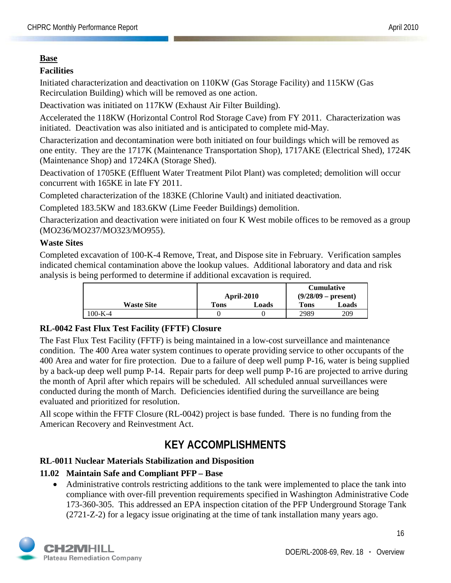### **Base**

## **Facilities**

Initiated characterization and deactivation on 110KW (Gas Storage Facility) and 115KW (Gas Recirculation Building) which will be removed as one action.

Deactivation was initiated on 117KW (Exhaust Air Filter Building).

Accelerated the 118KW (Horizontal Control Rod Storage Cave) from FY 2011. Characterization was initiated. Deactivation was also initiated and is anticipated to complete mid-May.

Characterization and decontamination were both initiated on four buildings which will be removed as one entity. They are the 1717K (Maintenance Transportation Shop), 1717AKE (Electrical Shed), 1724K (Maintenance Shop) and 1724KA (Storage Shed).

Deactivation of 1705KE (Effluent Water Treatment Pilot Plant) was completed; demolition will occur concurrent with 165KE in late FY 2011.

Completed characterization of the 183KE (Chlorine Vault) and initiated deactivation.

Completed 183.5KW and 183.6KW (Lime Feeder Buildings) demolition.

Characterization and deactivation were initiated on four K West mobile offices to be removed as a group (MO236/MO237/MO323/MO955).

## **Waste Sites**

Completed excavation of 100-K-4 Remove, Treat, and Dispose site in February. Verification samples indicated chemical contamination above the lookup values. Additional laboratory and data and risk analysis is being performed to determine if additional excavation is required.

|                   |      |            |      | <b>Cumulative</b>     |
|-------------------|------|------------|------|-----------------------|
|                   |      | April-2010 |      | $(9/28/09 - present)$ |
| <b>Waste Site</b> | Tons | Loads      | Tons | Loads                 |
| 100-K-4           |      |            | 2989 | 209                   |

## **RL-0042 Fast Flux Test Facility (FFTF) Closure**

The Fast Flux Test Facility (FFTF) is being maintained in a low-cost surveillance and maintenance condition. The 400 Area water system continues to operate providing service to other occupants of the 400 Area and water for fire protection. Due to a failure of deep well pump P-16, water is being supplied by a back-up deep well pump P-14. Repair parts for deep well pump P-16 are projected to arrive during the month of April after which repairs will be scheduled. All scheduled annual surveillances were conducted during the month of March. Deficiencies identified during the surveillance are being evaluated and prioritized for resolution.

All scope within the FFTF Closure (RL-0042) project is base funded. There is no funding from the American Recovery and Reinvestment Act.

## **KEY ACCOMPLISHMENTS**

## **RL-0011 Nuclear Materials Stabilization and Disposition**

## **11.02 Maintain Safe and Compliant PFP – Base**

• Administrative controls restricting additions to the tank were implemented to place the tank into compliance with over-fill prevention requirements specified in Washington Administrative Code 173-360-305. This addressed an EPA inspection citation of the PFP Underground Storage Tank (2721-Z-2) for a legacy issue originating at the time of tank installation many years ago.

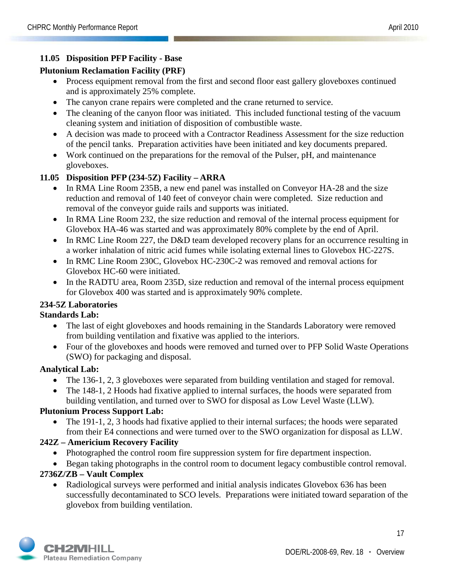## **11.05 Disposition PFP Facility - Base**

## **Plutonium Reclamation Facility (PRF)**

- Process equipment removal from the first and second floor east gallery gloveboxes continued and is approximately 25% complete.
- The canyon crane repairs were completed and the crane returned to service.
- The cleaning of the canyon floor was initiated. This included functional testing of the vacuum cleaning system and initiation of disposition of combustible waste.
- A decision was made to proceed with a Contractor Readiness Assessment for the size reduction of the pencil tanks. Preparation activities have been initiated and key documents prepared.
- Work continued on the preparations for the removal of the Pulser, pH, and maintenance gloveboxes.

#### **11.05 Disposition PFP (234-5Z) Facility – ARRA**

- In RMA Line Room 235B, a new end panel was installed on Conveyor HA-28 and the size reduction and removal of 140 feet of conveyor chain were completed. Size reduction and removal of the conveyor guide rails and supports was initiated.
- In RMA Line Room 232, the size reduction and removal of the internal process equipment for Glovebox HA-46 was started and was approximately 80% complete by the end of April.
- In RMC Line Room 227, the D&D team developed recovery plans for an occurrence resulting in a worker inhalation of nitric acid fumes while isolating external lines to Glovebox HC-227S.
- In RMC Line Room 230C, Glovebox HC-230C-2 was removed and removal actions for Glovebox HC-60 were initiated.
- In the RADTU area, Room 235D, size reduction and removal of the internal process equipment for Glovebox 400 was started and is approximately 90% complete.

#### **234-5Z Laboratories**

#### **Standards Lab:**

- The last of eight gloveboxes and hoods remaining in the Standards Laboratory were removed from building ventilation and fixative was applied to the interiors.
- Four of the gloveboxes and hoods were removed and turned over to PFP Solid Waste Operations (SWO) for packaging and disposal.

#### **Analytical Lab:**

- The 136-1, 2, 3 gloveboxes were separated from building ventilation and staged for removal.
- The 148-1, 2 Hoods had fixative applied to internal surfaces, the hoods were separated from building ventilation, and turned over to SWO for disposal as Low Level Waste (LLW).

#### **Plutonium Process Support Lab:**

• The 191-1, 2, 3 hoods had fixative applied to their internal surfaces; the hoods were separated from their E4 connections and were turned over to the SWO organization for disposal as LLW.

## **242Z – Americium Recovery Facility**

- Photographed the control room fire suppression system for fire department inspection.
- Began taking photographs in the control room to document legacy combustible control removal.

## **2736Z/ZB – Vault Complex**

• Radiological surveys were performed and initial analysis indicates Glovebox 636 has been successfully decontaminated to SCO levels. Preparations were initiated toward separation of the glovebox from building ventilation.

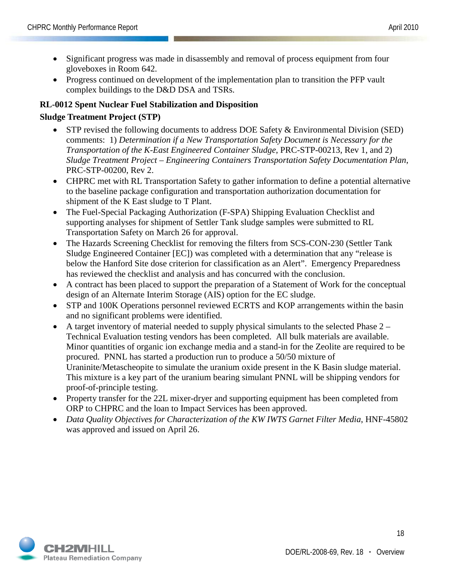- Significant progress was made in disassembly and removal of process equipment from four gloveboxes in Room 642.
- Progress continued on development of the implementation plan to transition the PFP vault complex buildings to the D&D DSA and TSRs.

## **RL-0012 Spent Nuclear Fuel Stabilization and Disposition**

### **Sludge Treatment Project (STP)**

- STP revised the following documents to address DOE Safety & Environmental Division (SED) comments: 1) *Determination if a New Transportation Safety Document is Necessary for the Transportation of the K-East Engineered Container Sludge*, PRC-STP-00213, Rev 1, and 2) *Sludge Treatment Project – Engineering Containers Transportation Safety Documentation Plan*, PRC-STP-00200, Rev 2.
- CHPRC met with RL Transportation Safety to gather information to define a potential alternative to the baseline package configuration and transportation authorization documentation for shipment of the K East sludge to T Plant.
- The Fuel-Special Packaging Authorization (F-SPA) Shipping Evaluation Checklist and supporting analyses for shipment of Settler Tank sludge samples were submitted to RL Transportation Safety on March 26 for approval.
- The Hazards Screening Checklist for removing the filters from SCS-CON-230 (Settler Tank Sludge Engineered Container [EC]) was completed with a determination that any "release is below the Hanford Site dose criterion for classification as an Alert". Emergency Preparedness has reviewed the checklist and analysis and has concurred with the conclusion.
- A contract has been placed to support the preparation of a Statement of Work for the conceptual design of an Alternate Interim Storage (AIS) option for the EC sludge.
- STP and 100K Operations personnel reviewed ECRTS and KOP arrangements within the basin and no significant problems were identified.
- A target inventory of material needed to supply physical simulants to the selected Phase 2 Technical Evaluation testing vendors has been completed. All bulk materials are available. Minor quantities of organic ion exchange media and a stand-in for the Zeolite are required to be procured. PNNL has started a production run to produce a 50/50 mixture of Uraninite/Metascheopite to simulate the uranium oxide present in the K Basin sludge material. This mixture is a key part of the uranium bearing simulant PNNL will be shipping vendors for proof-of-principle testing.
- Property transfer for the 22L mixer-dryer and supporting equipment has been completed from ORP to CHPRC and the loan to Impact Services has been approved.
- *Data Quality Objectives for Characterization of the KW IWTS Garnet Filter Media*, HNF-45802 was approved and issued on April 26.

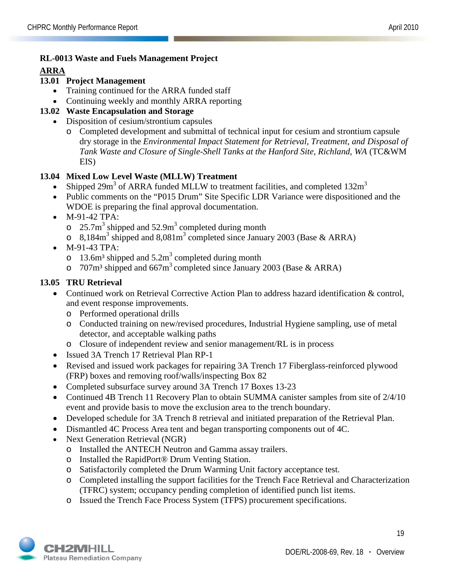### **RL-0013 Waste and Fuels Management Project**

#### **ARRA**

## **13.01 Project Management**

- Training continued for the ARRA funded staff
- Continuing weekly and monthly ARRA reporting

## **13.02 Waste Encapsulation and Storage**

- Disposition of cesium/strontium capsules
	- o Completed development and submittal of technical input for cesium and strontium capsule dry storage in the *Environmental Impact Statement for Retrieval, Treatment, and Disposal of Tank Waste and Closure of Single-Shell Tanks at the Hanford Site, Richland, WA* (TC&WM) EIS)

## **13.04 Mixed Low Level Waste (MLLW) Treatment**

- Shipped 29m<sup>3</sup> of ARRA funded MLLW to treatment facilities, and completed  $132m<sup>3</sup>$
- Public comments on the "P015 Drum" Site Specific LDR Variance were dispositioned and the WDOE is preparing the final approval documentation.
- M-91-42 TPA:
	- $\degree$  25.7m<sup>3</sup> shipped and 52.9m<sup>3</sup> completed during month
	- $\circ$  8,184m<sup>3</sup> shipped and 8,081m<sup>3</sup> completed since January 2003 (Base & ARRA)
- M-91-43 TPA:
	- o 13.6m<sup>3</sup> shipped and  $5.2m<sup>3</sup>$  completed during month
	- o 707m<sup>3</sup> shipped and 667m<sup>3</sup> completed since January 2003 (Base & ARRA)

## **13.05 TRU Retrieval**

- Continued work on Retrieval Corrective Action Plan to address hazard identification & control, and event response improvements.
	- o Performed operational drills
	- o Conducted training on new/revised procedures, Industrial Hygiene sampling, use of metal detector, and acceptable walking paths
	- o Closure of independent review and senior management/RL is in process
- Issued 3A Trench 17 Retrieval Plan RP-1
- Revised and issued work packages for repairing 3A Trench 17 Fiberglass-reinforced plywood (FRP) boxes and removing roof/walls/inspecting Box 82
- Completed subsurface survey around 3A Trench 17 Boxes 13-23
- Continued 4B Trench 11 Recovery Plan to obtain SUMMA canister samples from site of 2/4/10 event and provide basis to move the exclusion area to the trench boundary.
- Developed schedule for 3A Trench 8 retrieval and initiated preparation of the Retrieval Plan.
- Dismantled 4C Process Area tent and began transporting components out of 4C.
- Next Generation Retrieval (NGR)
	- o Installed the ANTECH Neutron and Gamma assay trailers.
	- o Installed the RapidPort® Drum Venting Station.
	- o Satisfactorily completed the Drum Warming Unit factory acceptance test.
	- o Completed installing the support facilities for the Trench Face Retrieval and Characterization (TFRC) system; occupancy pending completion of identified punch list items.
	- o Issued the Trench Face Process System (TFPS) procurement specifications.

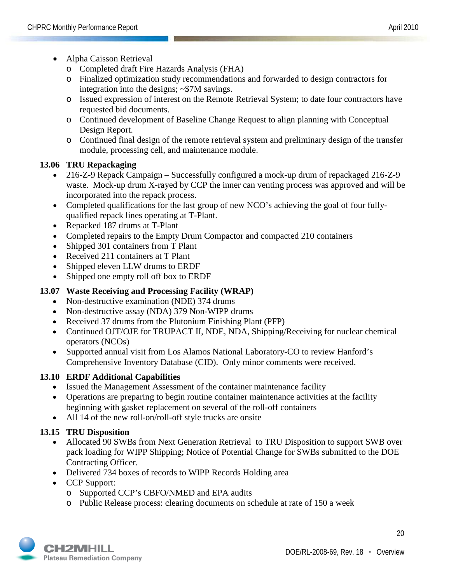- Alpha Caisson Retrieval
	- o Completed draft Fire Hazards Analysis (FHA)
	- o Finalized optimization study recommendations and forwarded to design contractors for integration into the designs; ~\$7M savings.
	- o Issued expression of interest on the Remote Retrieval System; to date four contractors have requested bid documents.
	- o Continued development of Baseline Change Request to align planning with Conceptual Design Report.
	- o Continued final design of the remote retrieval system and preliminary design of the transfer module, processing cell, and maintenance module.

## **13.06 TRU Repackaging**

- 216-Z-9 Repack Campaign Successfully configured a mock-up drum of repackaged 216-Z-9 waste. Mock-up drum X-rayed by CCP the inner can venting process was approved and will be incorporated into the repack process.
- Completed qualifications for the last group of new NCO's achieving the goal of four fullyqualified repack lines operating at T-Plant.
- Repacked 187 drums at T-Plant
- Completed repairs to the Empty Drum Compactor and compacted 210 containers
- Shipped 301 containers from T Plant
- Received 211 containers at T Plant
- Shipped eleven LLW drums to ERDF
- Shipped one empty roll off box to ERDF

## **13.07 Waste Receiving and Processing Facility (WRAP)**

- Non-destructive examination (NDE) 374 drums
- Non-destructive assay (NDA) 379 Non-WIPP drums
- Received 37 drums from the Plutonium Finishing Plant (PFP)
- Continued OJT/OJE for TRUPACT II, NDE, NDA, Shipping/Receiving for nuclear chemical operators (NCOs)
- Supported annual visit from Los Alamos National Laboratory-CO to review Hanford's Comprehensive Inventory Database (CID). Only minor comments were received.

#### **13.10 ERDF Additional Capabilities**

- Issued the Management Assessment of the container maintenance facility
- Operations are preparing to begin routine container maintenance activities at the facility beginning with gasket replacement on several of the roll-off containers
- All 14 of the new roll-on/roll-off style trucks are onsite

#### **13.15 TRU Disposition**

- Allocated 90 SWBs from Next Generation Retrieval to TRU Disposition to support SWB over pack loading for WIPP Shipping; Notice of Potential Change for SWBs submitted to the DOE Contracting Officer.
- Delivered 734 boxes of records to WIPP Records Holding area
- CCP Support:
	- o Supported CCP's CBFO/NMED and EPA audits
	- o Public Release process: clearing documents on schedule at rate of 150 a week

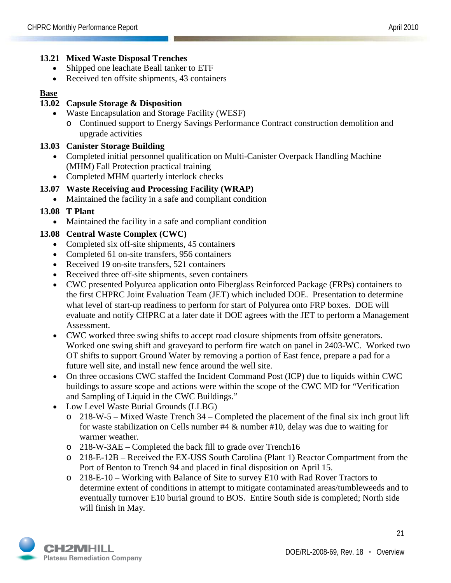#### **13.21 Mixed Waste Disposal Trenches**

- Shipped one leachate Beall tanker to ETF
- Received ten offsite shipments, 43 containers

#### **Base**

#### **13.02 Capsule Storage & Disposition**

- Waste Encapsulation and Storage Facility (WESF)
	- o Continued support to Energy Savings Performance Contract construction demolition and upgrade activities

#### **13.03 Canister Storage Building**

- Completed initial personnel qualification on Multi-Canister Overpack Handling Machine (MHM) Fall Protection practical training
- Completed MHM quarterly interlock checks

#### **13.07 Waste Receiving and Processing Facility (WRAP)**

• Maintained the facility in a safe and compliant condition

#### **13.08 T Plant**

• Maintained the facility in a safe and compliant condition

#### **13.08 Central Waste Complex (CWC)**

- Completed six off-site shipments, 45 container**s**
- Completed 61 on-site transfers, 956 containers
- Received 19 on-site transfers, 521 containers
- Received three off-site shipments, seven containers
- CWC presented Polyurea application onto Fiberglass Reinforced Package (FRPs) containers to the first CHPRC Joint Evaluation Team (JET) which included DOE. Presentation to determine what level of start-up readiness to perform for start of Polyurea onto FRP boxes. DOE will evaluate and notify CHPRC at a later date if DOE agrees with the JET to perform a Management Assessment.
- CWC worked three swing shifts to accept road closure shipments from offsite generators. Worked one swing shift and graveyard to perform fire watch on panel in 2403-WC. Worked two OT shifts to support Ground Water by removing a portion of East fence, prepare a pad for a future well site, and install new fence around the well site.
- On three occasions CWC staffed the Incident Command Post (ICP) due to liquids within CWC buildings to assure scope and actions were within the scope of the CWC MD for "Verification and Sampling of Liquid in the CWC Buildings."
- Low Level Waste Burial Grounds (LLBG)
	- o 218-W-5 Mixed Waste Trench 34 Completed the placement of the final six inch grout lift for waste stabilization on Cells number #4 & number #10, delay was due to waiting for warmer weather.
	- o 218-W-3AE Completed the back fill to grade over Trench16
	- o 218-E-12B Received the EX-USS South Carolina (Plant 1) Reactor Compartment from the Port of Benton to Trench 94 and placed in final disposition on April 15.
	- o 218-E-10 Working with Balance of Site to survey E10 with Rad Rover Tractors to determine extent of conditions in attempt to mitigate contaminated areas/tumbleweeds and to eventually turnover E10 burial ground to BOS. Entire South side is completed; North side will finish in May.

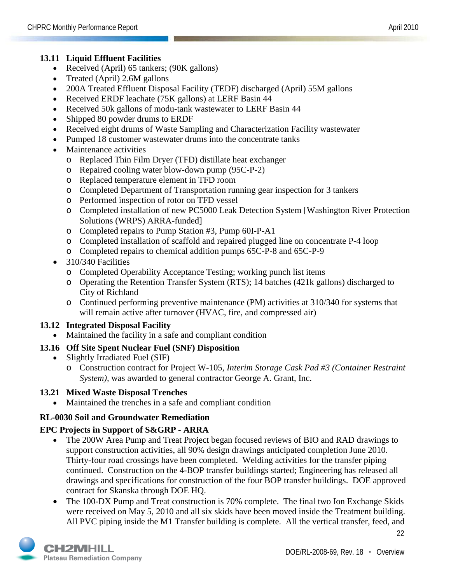### **13.11 Liquid Effluent Facilities**

- Received (April) 65 tankers; (90K gallons)
- Treated (April) 2.6M gallons
- 200A Treated Effluent Disposal Facility (TEDF) discharged (April) 55M gallons
- Received ERDF leachate (75K gallons) at LERF Basin 44
- Received 50k gallons of modu-tank wastewater to LERF Basin 44
- Shipped 80 powder drums to ERDF
- Received eight drums of Waste Sampling and Characterization Facility wastewater
- Pumped 18 customer wastewater drums into the concentrate tanks
- Maintenance activities
	- o Replaced Thin Film Dryer (TFD) distillate heat exchanger
	- o Repaired cooling water blow-down pump (95C-P-2)
	- o Replaced temperature element in TFD room
	- o Completed Department of Transportation running gear inspection for 3 tankers
	- o Performed inspection of rotor on TFD vessel
	- o Completed installation of new PC5000 Leak Detection System [Washington River Protection Solutions (WRPS) ARRA-funded]
	- o Completed repairs to Pump Station #3, Pump 60I-P-A1
	- o Completed installation of scaffold and repaired plugged line on concentrate P-4 loop
	- o Completed repairs to chemical addition pumps 65C-P-8 and 65C-P-9
- 310/340 Facilities
	- o Completed Operability Acceptance Testing; working punch list items
	- o Operating the Retention Transfer System (RTS); 14 batches (421k gallons) discharged to City of Richland
	- o Continued performing preventive maintenance (PM) activities at 310/340 for systems that will remain active after turnover (HVAC, fire, and compressed air)

## **13.12 Integrated Disposal Facility**

• Maintained the facility in a safe and compliant condition

## **13.16 Off Site Spent Nuclear Fuel (SNF) Disposition**

- Slightly Irradiated Fuel (SIF)
	- o Construction contract for Project W-105, *Interim Storage Cask Pad #3 (Container Restraint System),* was awarded to general contractor George A. Grant, Inc.

#### **13.21 Mixed Waste Disposal Trenches**

• Maintained the trenches in a safe and compliant condition

## **RL-0030 Soil and Groundwater Remediation**

## **EPC Projects in Support of S&GRP - ARRA**

- The 200W Area Pump and Treat Project began focused reviews of BIO and RAD drawings to support construction activities, all 90% design drawings anticipated completion June 2010. Thirty-four road crossings have been completed. Welding activities for the transfer piping continued. Construction on the 4-BOP transfer buildings started; Engineering has released all drawings and specifications for construction of the four BOP transfer buildings. DOE approved contract for Skanska through DOE HQ.
- The 100-DX Pump and Treat construction is 70% complete. The final two Ion Exchange Skids were received on May 5, 2010 and all six skids have been moved inside the Treatment building. All PVC piping inside the M1 Transfer building is complete. All the vertical transfer, feed, and

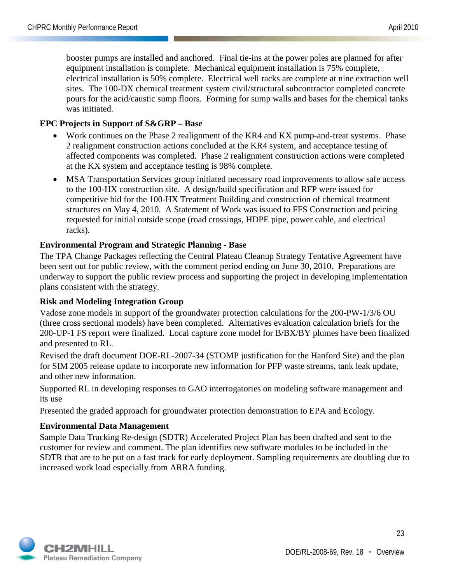booster pumps are installed and anchored. Final tie-ins at the power poles are planned for after equipment installation is complete. Mechanical equipment installation is 75% complete, electrical installation is 50% complete. Electrical well racks are complete at nine extraction well sites. The 100-DX chemical treatment system civil/structural subcontractor completed concrete pours for the acid/caustic sump floors. Forming for sump walls and bases for the chemical tanks was initiated.

### **EPC Projects in Support of S&GRP – Base**

- Work continues on the Phase 2 realignment of the KR4 and KX pump-and-treat systems. Phase 2 realignment construction actions concluded at the KR4 system, and acceptance testing of affected components was completed. Phase 2 realignment construction actions were completed at the KX system and acceptance testing is 98% complete.
- MSA Transportation Services group initiated necessary road improvements to allow safe access to the 100-HX construction site. A design/build specification and RFP were issued for competitive bid for the 100-HX Treatment Building and construction of chemical treatment structures on May 4, 2010. A Statement of Work was issued to FFS Construction and pricing requested for initial outside scope (road crossings, HDPE pipe, power cable, and electrical racks).

#### **Environmental Program and Strategic Planning - Base**

The TPA Change Packages reflecting the Central Plateau Cleanup Strategy Tentative Agreement have been sent out for public review, with the comment period ending on June 30, 2010. Preparations are underway to support the public review process and supporting the project in developing implementation plans consistent with the strategy.

#### **Risk and Modeling Integration Group**

Vadose zone models in support of the groundwater protection calculations for the 200-PW-1/3/6 OU (three cross sectional models) have been completed. Alternatives evaluation calculation briefs for the 200-UP-1 FS report were finalized. Local capture zone model for B/BX/BY plumes have been finalized and presented to RL.

Revised the draft document DOE-RL-2007-34 (STOMP justification for the Hanford Site) and the plan for SIM 2005 release update to incorporate new information for PFP waste streams, tank leak update, and other new information.

Supported RL in developing responses to GAO interrogatories on modeling software management and its use

Presented the graded approach for groundwater protection demonstration to EPA and Ecology.

#### **Environmental Data Management**

Sample Data Tracking Re-design (SDTR) Accelerated Project Plan has been drafted and sent to the customer for review and comment. The plan identifies new software modules to be included in the SDTR that are to be put on a fast track for early deployment. Sampling requirements are doubling due to increased work load especially from ARRA funding.

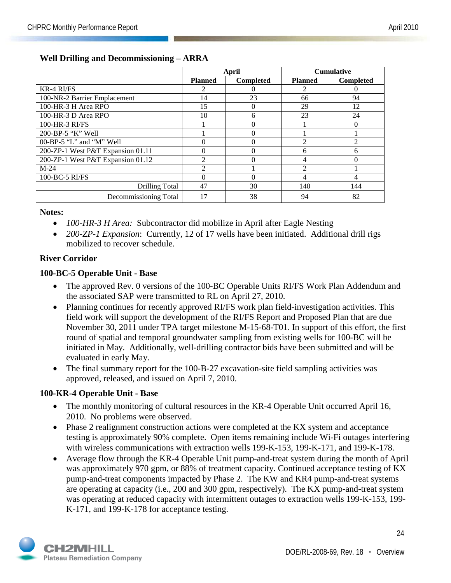|                                   |                | April            |                | <b>Cumulative</b> |
|-----------------------------------|----------------|------------------|----------------|-------------------|
|                                   | <b>Planned</b> | <b>Completed</b> | <b>Planned</b> | <b>Completed</b>  |
| <b>KR-4 RI/FS</b>                 |                | $\theta$         | 2              |                   |
| 100-NR-2 Barrier Emplacement      | 14             | 23               | 66             | 94                |
| 100-HR-3 H Area RPO               | 15             | 0                | 29             | 12                |
| $100$ -HR-3 D Area RPO            | 10             | 6                | 23             | 24                |
| 100-HR-3 RI/FS                    |                | $\Omega$         |                | $\Omega$          |
| 200-BP-5 "K" Well                 |                | $\theta$         |                |                   |
| 00-BP-5 "L" and "M" Well          | 0              | $\Omega$         | $\mathfrak{D}$ | $\mathfrak{D}$    |
| 200-ZP-1 West P&T Expansion 01.11 | 0              | $\Omega$         | 6              | 6                 |
| 200-ZP-1 West P&T Expansion 01.12 | 2              | 0                | 4              |                   |
| $M-24$                            | $\mathfrak{D}$ |                  | $\mathfrak{D}$ |                   |
| 100-BC-5 RI/FS                    | 0              | $\Omega$         | 4              | 4                 |
| Drilling Total                    | 47             | 30               | 140            | 144               |
| Decommissioning Total             | 17             | 38               | 94             | 82                |

#### **Well Drilling and Decommissioning – ARRA**

#### **Notes:**

- *100-HR-3 H Area:* Subcontractor did mobilize in April after Eagle Nesting
- *200-ZP-1 Expansion*: Currently, 12 of 17 wells have been initiated. Additional drill rigs mobilized to recover schedule.

#### **River Corridor**

#### **100-BC-5 Operable Unit - Base**

- The approved Rev. 0 versions of the 100-BC Operable Units RI/FS Work Plan Addendum and the associated SAP were transmitted to RL on April 27, 2010.
- Planning continues for recently approved RI/FS work plan field-investigation activities. This field work will support the development of the RI/FS Report and Proposed Plan that are due November 30, 2011 under TPA target milestone M-15-68-T01. In support of this effort, the first round of spatial and temporal groundwater sampling from existing wells for 100-BC will be initiated in May. Additionally, well-drilling contractor bids have been submitted and will be evaluated in early May.
- The final summary report for the 100-B-27 excavation-site field sampling activities was approved, released, and issued on April 7, 2010.

#### **100-KR-4 Operable Unit - Base**

- The monthly monitoring of cultural resources in the KR-4 Operable Unit occurred April 16, 2010. No problems were observed.
- Phase 2 realignment construction actions were completed at the KX system and acceptance testing is approximately 90% complete. Open items remaining include Wi-Fi outages interfering with wireless communications with extraction wells 199-K-153, 199-K-171, and 199-K-178.
- Average flow through the KR-4 Operable Unit pump-and-treat system during the month of April was approximately 970 gpm, or 88% of treatment capacity. Continued acceptance testing of KX pump-and-treat components impacted by Phase 2. The KW and KR4 pump-and-treat systems are operating at capacity (i.e., 200 and 300 gpm, respectively). The KX pump-and-treat system was operating at reduced capacity with intermittent outages to extraction wells 199-K-153, 199- K-171, and 199-K-178 for acceptance testing.

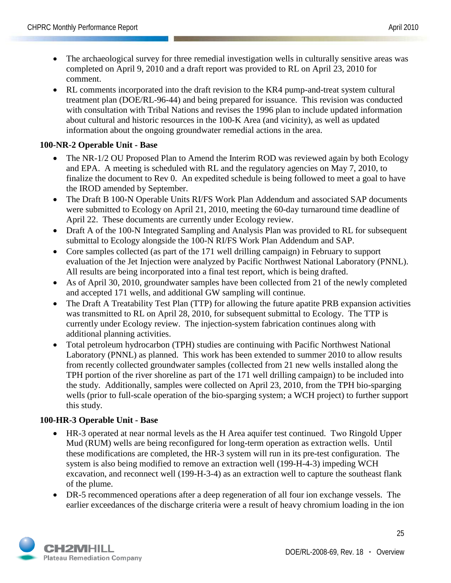- The archaeological survey for three remedial investigation wells in culturally sensitive areas was completed on April 9, 2010 and a draft report was provided to RL on April 23, 2010 for comment.
- RL comments incorporated into the draft revision to the KR4 pump-and-treat system cultural treatment plan (DOE/RL-96-44) and being prepared for issuance. This revision was conducted with consultation with Tribal Nations and revises the 1996 plan to include updated information about cultural and historic resources in the 100-K Area (and vicinity), as well as updated information about the ongoing groundwater remedial actions in the area.

## **100-NR-2 Operable Unit - Base**

- The NR-1/2 OU Proposed Plan to Amend the Interim ROD was reviewed again by both Ecology and EPA. A meeting is scheduled with RL and the regulatory agencies on May 7, 2010, to finalize the document to Rev 0. An expedited schedule is being followed to meet a goal to have the IROD amended by September.
- The Draft B 100-N Operable Units RI/FS Work Plan Addendum and associated SAP documents were submitted to Ecology on April 21, 2010, meeting the 60-day turnaround time deadline of April 22. These documents are currently under Ecology review.
- Draft A of the 100-N Integrated Sampling and Analysis Plan was provided to RL for subsequent submittal to Ecology alongside the 100-N RI/FS Work Plan Addendum and SAP.
- Core samples collected (as part of the 171 well drilling campaign) in February to support evaluation of the Jet Injection were analyzed by Pacific Northwest National Laboratory (PNNL). All results are being incorporated into a final test report, which is being drafted.
- As of April 30, 2010, groundwater samples have been collected from 21 of the newly completed and accepted 171 wells, and additional GW sampling will continue.
- The Draft A Treatability Test Plan (TTP) for allowing the future apatite PRB expansion activities was transmitted to RL on April 28, 2010, for subsequent submittal to Ecology. The TTP is currently under Ecology review. The injection-system fabrication continues along with additional planning activities.
- Total petroleum hydrocarbon (TPH) studies are continuing with Pacific Northwest National Laboratory (PNNL) as planned. This work has been extended to summer 2010 to allow results from recently collected groundwater samples (collected from 21 new wells installed along the TPH portion of the river shoreline as part of the 171 well drilling campaign) to be included into the study. Additionally, samples were collected on April 23, 2010, from the TPH bio-sparging wells (prior to full-scale operation of the bio-sparging system; a WCH project) to further support this study.

#### **100-HR-3 Operable Unit - Base**

- HR-3 operated at near normal levels as the H Area aquifer test continued. Two Ringold Upper Mud (RUM) wells are being reconfigured for long-term operation as extraction wells. Until these modifications are completed, the HR-3 system will run in its pre-test configuration. The system is also being modified to remove an extraction well (199-H-4-3) impeding WCH excavation, and reconnect well (199-H-3-4) as an extraction well to capture the southeast flank of the plume.
- DR-5 recommenced operations after a deep regeneration of all four ion exchange vessels. The earlier exceedances of the discharge criteria were a result of heavy chromium loading in the ion

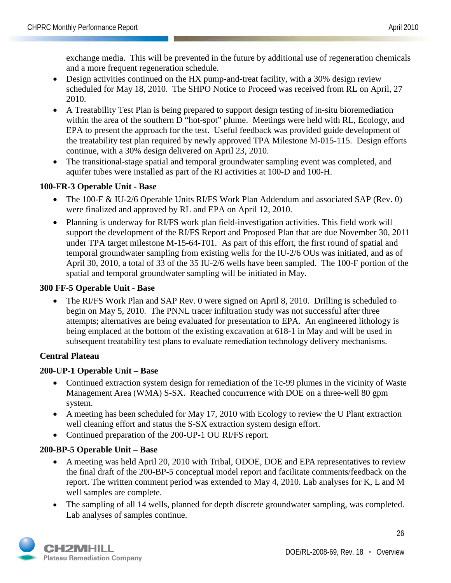exchange media. This will be prevented in the future by additional use of regeneration chemicals and a more frequent regeneration schedule.

- Design activities continued on the HX pump-and-treat facility, with a 30% design review scheduled for May 18, 2010. The SHPO Notice to Proceed was received from RL on April, 27 2010.
- A Treatability Test Plan is being prepared to support design testing of in-situ bioremediation within the area of the southern D "hot-spot" plume. Meetings were held with RL, Ecology, and EPA to present the approach for the test. Useful feedback was provided guide development of the treatability test plan required by newly approved TPA Milestone M-015-115. Design efforts continue, with a 30% design delivered on April 23, 2010.
- The transitional-stage spatial and temporal groundwater sampling event was completed, and aquifer tubes were installed as part of the RI activities at 100-D and 100-H.

## **100-FR-3 Operable Unit - Base**

- The 100-F & IU-2/6 Operable Units RI/FS Work Plan Addendum and associated SAP (Rev. 0) were finalized and approved by RL and EPA on April 12, 2010.
- Planning is underway for RI/FS work plan field-investigation activities. This field work will support the development of the RI/FS Report and Proposed Plan that are due November 30, 2011 under TPA target milestone M-15-64-T01. As part of this effort, the first round of spatial and temporal groundwater sampling from existing wells for the IU-2/6 OUs was initiated, and as of April 30, 2010, a total of 33 of the 35 IU-2/6 wells have been sampled. The 100-F portion of the spatial and temporal groundwater sampling will be initiated in May.

## **300 FF-5 Operable Unit - Base**

• The RI/FS Work Plan and SAP Rev. 0 were signed on April 8, 2010. Drilling is scheduled to begin on May 5, 2010. The PNNL tracer infiltration study was not successful after three attempts; alternatives are being evaluated for presentation to EPA. An engineered lithology is being emplaced at the bottom of the existing excavation at 618-1 in May and will be used in subsequent treatability test plans to evaluate remediation technology delivery mechanisms.

## **Central Plateau**

## **200-UP-1 Operable Unit – Base**

- Continued extraction system design for remediation of the Tc-99 plumes in the vicinity of Waste Management Area (WMA) S-SX. Reached concurrence with DOE on a three-well 80 gpm system.
- A meeting has been scheduled for May 17, 2010 with Ecology to review the U Plant extraction well cleaning effort and status the S-SX extraction system design effort.
- Continued preparation of the 200-UP-1 OU RI/FS report.

## **200-BP-5 Operable Unit – Base**

- A meeting was held April 20, 2010 with Tribal, ODOE, DOE and EPA representatives to review the final draft of the 200-BP-5 conceptual model report and facilitate comments/feedback on the report. The written comment period was extended to May 4, 2010. Lab analyses for K, L and M well samples are complete.
- The sampling of all 14 wells, planned for depth discrete groundwater sampling, was completed. Lab analyses of samples continue.

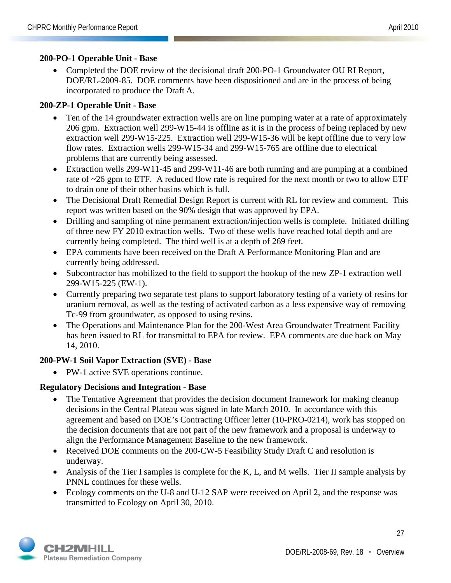#### **200-PO-1 Operable Unit - Base**

• Completed the DOE review of the decisional draft 200-PO-1 Groundwater OU RI Report, DOE/RL-2009-85. DOE comments have been dispositioned and are in the process of being incorporated to produce the Draft A.

#### **200-ZP-1 Operable Unit - Base**

- Ten of the 14 groundwater extraction wells are on line pumping water at a rate of approximately 206 gpm. Extraction well 299-W15-44 is offline as it is in the process of being replaced by new extraction well 299-W15-225. Extraction well 299-W15-36 will be kept offline due to very low flow rates. Extraction wells 299-W15-34 and 299-W15-765 are offline due to electrical problems that are currently being assessed.
- Extraction wells 299-W11-45 and 299-W11-46 are both running and are pumping at a combined rate of ~26 gpm to ETF. A reduced flow rate is required for the next month or two to allow ETF to drain one of their other basins which is full.
- The Decisional Draft Remedial Design Report is current with RL for review and comment. This report was written based on the 90% design that was approved by EPA.
- Drilling and sampling of nine permanent extraction/injection wells is complete. Initiated drilling of three new FY 2010 extraction wells. Two of these wells have reached total depth and are currently being completed. The third well is at a depth of 269 feet.
- EPA comments have been received on the Draft A Performance Monitoring Plan and are currently being addressed.
- Subcontractor has mobilized to the field to support the hookup of the new ZP-1 extraction well 299-W15-225 (EW-1).
- Currently preparing two separate test plans to support laboratory testing of a variety of resins for uranium removal, as well as the testing of activated carbon as a less expensive way of removing Tc-99 from groundwater, as opposed to using resins.
- The Operations and Maintenance Plan for the 200-West Area Groundwater Treatment Facility has been issued to RL for transmittal to EPA for review. EPA comments are due back on May 14, 2010.

#### **200-PW-1 Soil Vapor Extraction (SVE) - Base**

• PW-1 active SVE operations continue.

#### **Regulatory Decisions and Integration - Base**

- The Tentative Agreement that provides the decision document framework for making cleanup decisions in the Central Plateau was signed in late March 2010. In accordance with this agreement and based on DOE's Contracting Officer letter (10-PRO-0214), work has stopped on the decision documents that are not part of the new framework and a proposal is underway to align the Performance Management Baseline to the new framework.
- Received DOE comments on the 200-CW-5 Feasibility Study Draft C and resolution is underway.
- Analysis of the Tier I samples is complete for the K, L, and M wells. Tier II sample analysis by PNNL continues for these wells.
- Ecology comments on the U-8 and U-12 SAP were received on April 2, and the response was transmitted to Ecology on April 30, 2010.

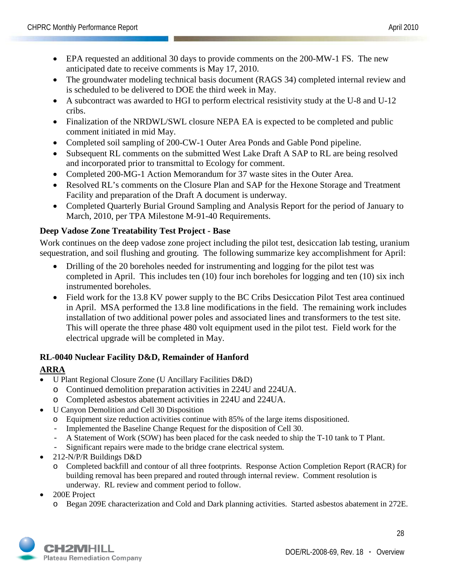- EPA requested an additional 30 days to provide comments on the 200-MW-1 FS. The new anticipated date to receive comments is May 17, 2010.
- The groundwater modeling technical basis document (RAGS 34) completed internal review and is scheduled to be delivered to DOE the third week in May.
- A subcontract was awarded to HGI to perform electrical resistivity study at the U-8 and U-12 cribs.
- Finalization of the NRDWL/SWL closure NEPA EA is expected to be completed and public comment initiated in mid May.
- Completed soil sampling of 200-CW-1 Outer Area Ponds and Gable Pond pipeline.
- Subsequent RL comments on the submitted West Lake Draft A SAP to RL are being resolved and incorporated prior to transmittal to Ecology for comment.
- Completed 200-MG-1 Action Memorandum for 37 waste sites in the Outer Area.
- Resolved RL's comments on the Closure Plan and SAP for the Hexone Storage and Treatment Facility and preparation of the Draft A document is underway.
- Completed Quarterly Burial Ground Sampling and Analysis Report for the period of January to March, 2010, per TPA Milestone M-91-40 Requirements.

## **Deep Vadose Zone Treatability Test Project - Base**

Work continues on the deep vadose zone project including the pilot test, desiccation lab testing, uranium sequestration, and soil flushing and grouting. The following summarize key accomplishment for April:

- Drilling of the 20 boreholes needed for instrumenting and logging for the pilot test was completed in April. This includes ten (10) four inch boreholes for logging and ten (10) six inch instrumented boreholes.
- Field work for the 13.8 KV power supply to the BC Cribs Desiccation Pilot Test area continued in April. MSA performed the 13.8 line modifications in the field. The remaining work includes installation of two additional power poles and associated lines and transformers to the test site. This will operate the three phase 480 volt equipment used in the pilot test. Field work for the electrical upgrade will be completed in May.

## **RL-0040 Nuclear Facility D&D, Remainder of Hanford**

## **ARRA**

- U Plant Regional Closure Zone (U Ancillary Facilities D&D)
	- o Continued demolition preparation activities in 224U and 224UA.
	- o Completed asbestos abatement activities in 224U and 224UA.
- U Canyon Demolition and Cell 30 Disposition
	- o Equipment size reduction activities continue with 85% of the large items dispositioned.
	- Implemented the Baseline Change Request for the disposition of Cell 30.
	- A Statement of Work (SOW) has been placed for the cask needed to ship the T-10 tank to T Plant.
	- Significant repairs were made to the bridge crane electrical system.
- 212-N/P/R Buildings D&D
	- o Completed backfill and contour of all three footprints. Response Action Completion Report (RACR) for building removal has been prepared and routed through internal review. Comment resolution is underway. RL review and comment period to follow.
- 200E Project
	- o Began 209E characterization and Cold and Dark planning activities. Started asbestos abatement in 272E.

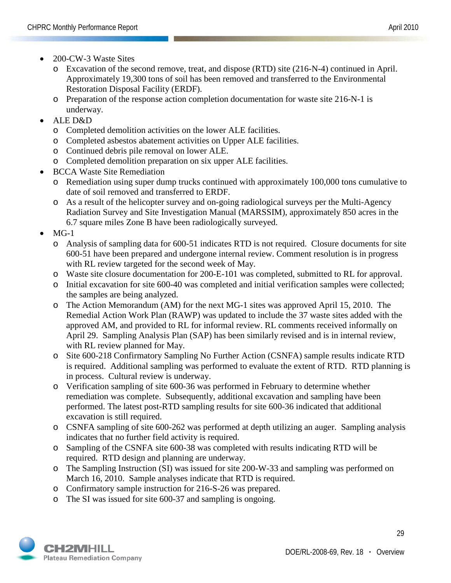- 200-CW-3 Waste Sites
	- o Excavation of the second remove, treat, and dispose (RTD) site (216-N-4) continued in April. Approximately 19,300 tons of soil has been removed and transferred to the Environmental Restoration Disposal Facility (ERDF).
	- o Preparation of the response action completion documentation for waste site 216-N-1 is underway.
- ALE D&D
	- o Completed demolition activities on the lower ALE facilities.
	- o Completed asbestos abatement activities on Upper ALE facilities.
	- o Continued debris pile removal on lower ALE.
	- o Completed demolition preparation on six upper ALE facilities.
- BCCA Waste Site Remediation
	- o Remediation using super dump trucks continued with approximately 100,000 tons cumulative to date of soil removed and transferred to ERDF.
	- o As a result of the helicopter survey and on-going radiological surveys per the Multi-Agency Radiation Survey and Site Investigation Manual (MARSSIM), approximately 850 acres in the 6.7 square miles Zone B have been radiologically surveyed.
- $MG-1$ 
	- o Analysis of sampling data for 600-51 indicates RTD is not required. Closure documents for site 600-51 have been prepared and undergone internal review. Comment resolution is in progress with RL review targeted for the second week of May.
	- o Waste site closure documentation for 200-E-101 was completed, submitted to RL for approval.
	- o Initial excavation for site 600-40 was completed and initial verification samples were collected; the samples are being analyzed.
	- o The Action Memorandum (AM) for the next MG-1 sites was approved April 15, 2010. The Remedial Action Work Plan (RAWP) was updated to include the 37 waste sites added with the approved AM, and provided to RL for informal review. RL comments received informally on April 29. Sampling Analysis Plan (SAP) has been similarly revised and is in internal review, with RL review planned for May.
	- o Site 600-218 Confirmatory Sampling No Further Action (CSNFA) sample results indicate RTD is required. Additional sampling was performed to evaluate the extent of RTD. RTD planning is in process. Cultural review is underway.
	- o Verification sampling of site 600-36 was performed in February to determine whether remediation was complete. Subsequently, additional excavation and sampling have been performed. The latest post-RTD sampling results for site 600-36 indicated that additional excavation is still required.
	- o CSNFA sampling of site 600-262 was performed at depth utilizing an auger. Sampling analysis indicates that no further field activity is required.
	- o Sampling of the CSNFA site 600-38 was completed with results indicating RTD will be required. RTD design and planning are underway.
	- o The Sampling Instruction (SI) was issued for site 200-W-33 and sampling was performed on March 16, 2010. Sample analyses indicate that RTD is required.
	- o Confirmatory sample instruction for 216-S-26 was prepared.
	- o The SI was issued for site 600-37 and sampling is ongoing.

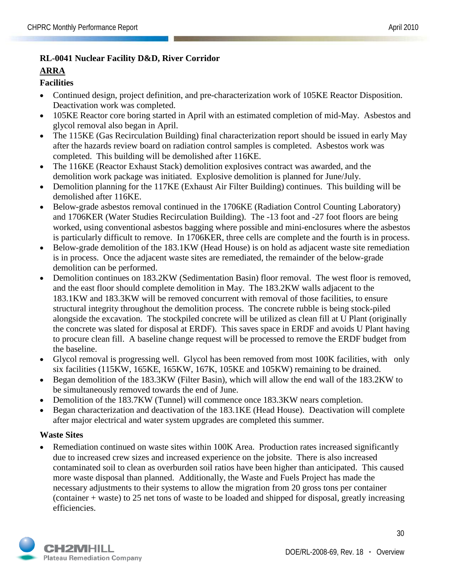## **RL-0041 Nuclear Facility D&D, River Corridor**

#### **ARRA**

## **Facilities**

- Continued design, project definition, and pre-characterization work of 105KE Reactor Disposition. Deactivation work was completed.
- 105KE Reactor core boring started in April with an estimated completion of mid-May. Asbestos and glycol removal also began in April.
- The 115KE (Gas Recirculation Building) final characterization report should be issued in early May after the hazards review board on radiation control samples is completed. Asbestos work was completed. This building will be demolished after 116KE.
- The 116KE (Reactor Exhaust Stack) demolition explosives contract was awarded, and the demolition work package was initiated. Explosive demolition is planned for June/July.
- Demolition planning for the 117KE (Exhaust Air Filter Building) continues. This building will be demolished after 116KE.
- Below-grade asbestos removal continued in the 1706KE (Radiation Control Counting Laboratory) and 1706KER (Water Studies Recirculation Building). The -13 foot and -27 foot floors are being worked, using conventional asbestos bagging where possible and mini-enclosures where the asbestos is particularly difficult to remove. In 1706KER, three cells are complete and the fourth is in process.
- Below-grade demolition of the 183.1KW (Head House) is on hold as adjacent waste site remediation is in process. Once the adjacent waste sites are remediated, the remainder of the below-grade demolition can be performed.
- Demolition continues on 183.2KW (Sedimentation Basin) floor removal. The west floor is removed, and the east floor should complete demolition in May. The 183.2KW walls adjacent to the 183.1KW and 183.3KW will be removed concurrent with removal of those facilities, to ensure structural integrity throughout the demolition process. The concrete rubble is being stock-piled alongside the excavation. The stockpiled concrete will be utilized as clean fill at U Plant (originally the concrete was slated for disposal at ERDF). This saves space in ERDF and avoids U Plant having to procure clean fill. A baseline change request will be processed to remove the ERDF budget from the baseline.
- Glycol removal is progressing well. Glycol has been removed from most 100K facilities, with only six facilities (115KW, 165KE, 165KW, 167K, 105KE and 105KW) remaining to be drained.
- Began demolition of the 183.3KW (Filter Basin), which will allow the end wall of the 183.2KW to be simultaneously removed towards the end of June.
- Demolition of the 183.7KW (Tunnel) will commence once 183.3KW nears completion.
- Began characterization and deactivation of the 183.1KE (Head House). Deactivation will complete after major electrical and water system upgrades are completed this summer.

## **Waste Sites**

Remediation continued on waste sites within 100K Area. Production rates increased significantly due to increased crew sizes and increased experience on the jobsite. There is also increased contaminated soil to clean as overburden soil ratios have been higher than anticipated. This caused more waste disposal than planned. Additionally, the Waste and Fuels Project has made the necessary adjustments to their systems to allow the migration from 20 gross tons per container (container + waste) to 25 net tons of waste to be loaded and shipped for disposal, greatly increasing efficiencies.

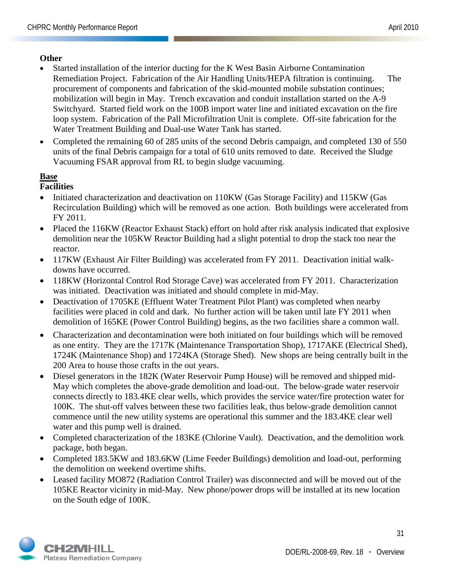#### **Other**

- Started installation of the interior ducting for the K West Basin Airborne Contamination Remediation Project. Fabrication of the Air Handling Units/HEPA filtration is continuing. The procurement of components and fabrication of the skid-mounted mobile substation continues; mobilization will begin in May. Trench excavation and conduit installation started on the A-9 Switchyard. Started field work on the 100B import water line and initiated excavation on the fire loop system. Fabrication of the Pall Microfiltration Unit is complete. Off-site fabrication for the Water Treatment Building and Dual-use Water Tank has started.
- Completed the remaining 60 of 285 units of the second Debris campaign, and completed 130 of 550 units of the final Debris campaign for a total of 610 units removed to date. Received the Sludge Vacuuming FSAR approval from RL to begin sludge vacuuming.

#### **Base**

## **Facilities**

- Initiated characterization and deactivation on 110KW (Gas Storage Facility) and 115KW (Gas Recirculation Building) which will be removed as one action. Both buildings were accelerated from FY 2011.
- Placed the 116KW (Reactor Exhaust Stack) effort on hold after risk analysis indicated that explosive demolition near the 105KW Reactor Building had a slight potential to drop the stack too near the reactor.
- 117KW (Exhaust Air Filter Building) was accelerated from FY 2011. Deactivation initial walkdowns have occurred.
- 118KW (Horizontal Control Rod Storage Cave) was accelerated from FY 2011. Characterization was initiated. Deactivation was initiated and should complete in mid-May.
- Deactivation of 1705KE (Effluent Water Treatment Pilot Plant) was completed when nearby facilities were placed in cold and dark. No further action will be taken until late FY 2011 when demolition of 165KE (Power Control Building) begins, as the two facilities share a common wall.
- Characterization and decontamination were both initiated on four buildings which will be removed as one entity. They are the 1717K (Maintenance Transportation Shop), 1717AKE (Electrical Shed), 1724K (Maintenance Shop) and 1724KA (Storage Shed). New shops are being centrally built in the 200 Area to house those crafts in the out years.
- Diesel generators in the 182K (Water Reservoir Pump House) will be removed and shipped mid-May which completes the above-grade demolition and load-out. The below-grade water reservoir connects directly to 183.4KE clear wells, which provides the service water/fire protection water for 100K. The shut-off valves between these two facilities leak, thus below-grade demolition cannot commence until the new utility systems are operational this summer and the 183.4KE clear well water and this pump well is drained.
- Completed characterization of the 183KE (Chlorine Vault). Deactivation, and the demolition work package, both began.
- Completed 183.5KW and 183.6KW (Lime Feeder Buildings) demolition and load-out, performing the demolition on weekend overtime shifts.
- Leased facility MO872 (Radiation Control Trailer) was disconnected and will be moved out of the 105KE Reactor vicinity in mid-May. New phone/power drops will be installed at its new location on the South edge of 100K.

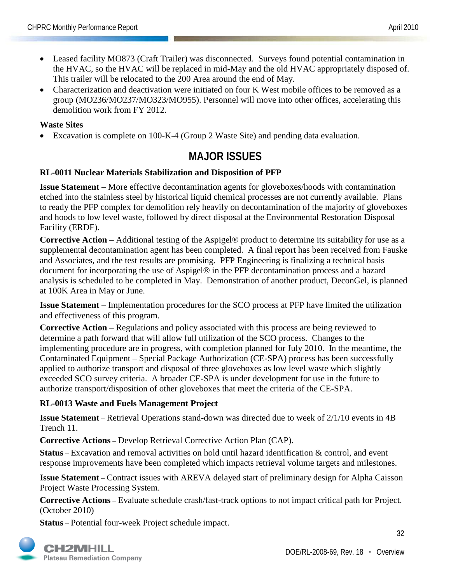- Leased facility MO873 (Craft Trailer) was disconnected. Surveys found potential contamination in the HVAC, so the HVAC will be replaced in mid-May and the old HVAC appropriately disposed of. This trailer will be relocated to the 200 Area around the end of May.
- Characterization and deactivation were initiated on four K West mobile offices to be removed as a group (MO236/MO237/MO323/MO955). Personnel will move into other offices, accelerating this demolition work from FY 2012.

## **Waste Sites**

• Excavation is complete on 100-K-4 (Group 2 Waste Site) and pending data evaluation.

## **MAJOR ISSUES**

## **RL-0011 Nuclear Materials Stabilization and Disposition of PFP**

**Issue Statement** – More effective decontamination agents for gloveboxes/hoods with contamination etched into the stainless steel by historical liquid chemical processes are not currently available. Plans to ready the PFP complex for demolition rely heavily on decontamination of the majority of gloveboxes and hoods to low level waste, followed by direct disposal at the Environmental Restoration Disposal Facility (ERDF).

**Corrective Action** – Additional testing of the Aspigel® product to determine its suitability for use as a supplemental decontamination agent has been completed. A final report has been received from Fauske and Associates, and the test results are promising. PFP Engineering is finalizing a technical basis document for incorporating the use of Aspigel® in the PFP decontamination process and a hazard analysis is scheduled to be completed in May. Demonstration of another product, DeconGel, is planned at 100K Area in May or June.

**Issue Statement** – Implementation procedures for the SCO process at PFP have limited the utilization and effectiveness of this program.

**Corrective Action** – Regulations and policy associated with this process are being reviewed to determine a path forward that will allow full utilization of the SCO process. Changes to the implementing procedure are in progress, with completion planned for July 2010. In the meantime, the Contaminated Equipment – Special Package Authorization (CE-SPA) process has been successfully applied to authorize transport and disposal of three gloveboxes as low level waste which slightly exceeded SCO survey criteria. A broader CE-SPA is under development for use in the future to authorize transport/disposition of other gloveboxes that meet the criteria of the CE-SPA.

## **RL-0013 Waste and Fuels Management Project**

**Issue Statement** – Retrieval Operations stand-down was directed due to week of 2/1/10 events in 4B Trench 11.

**Corrective Actions** – Develop Retrieval Corrective Action Plan (CAP).

**Status** – Excavation and removal activities on hold until hazard identification & control, and event response improvements have been completed which impacts retrieval volume targets and milestones.

**Issue Statement** – Contract issues with AREVA delayed start of preliminary design for Alpha Caisson Project Waste Processing System.

**Corrective Actions** – Evaluate schedule crash/fast-track options to not impact critical path for Project. (October 2010)

**Status** – Potential four-week Project schedule impact.

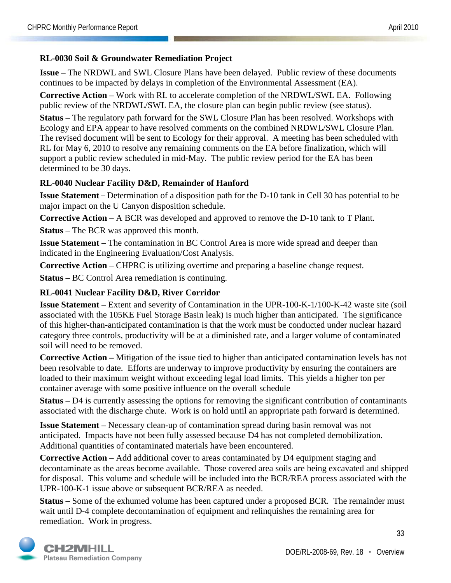#### **RL-0030 Soil & Groundwater Remediation Project**

**Issue** – The NRDWL and SWL Closure Plans have been delayed. Public review of these documents continues to be impacted by delays in completion of the Environmental Assessment (EA).

**Corrective Action** – Work with RL to accelerate completion of the NRDWL/SWL EA. Following public review of the NRDWL/SWL EA, the closure plan can begin public review (see status).

**Status** – The regulatory path forward for the SWL Closure Plan has been resolved. Workshops with Ecology and EPA appear to have resolved comments on the combined NRDWL/SWL Closure Plan. The revised document will be sent to Ecology for their approval. A meeting has been scheduled with RL for May 6, 2010 to resolve any remaining comments on the EA before finalization, which will support a public review scheduled in mid-May. The public review period for the EA has been determined to be 30 days.

#### **RL-0040 Nuclear Facility D&D, Remainder of Hanford**

**Issue Statement** – Determination of a disposition path for the D-10 tank in Cell 30 has potential to be major impact on the U Canyon disposition schedule.

**Corrective Action** – A BCR was developed and approved to remove the D-10 tank to T Plant.

**Status** – The BCR was approved this month.

**Issue Statement** – The contamination in BC Control Area is more wide spread and deeper than indicated in the Engineering Evaluation/Cost Analysis.

**Corrective Action** – CHPRC is utilizing overtime and preparing a baseline change request.

**Status** – BC Control Area remediation is continuing.

#### **RL-0041 Nuclear Facility D&D, River Corridor**

**Issue Statement** – Extent and severity of Contamination in the UPR-100-K-1/100-K-42 waste site (soil associated with the 105KE Fuel Storage Basin leak) is much higher than anticipated. The significance of this higher-than-anticipated contamination is that the work must be conducted under nuclear hazard category three controls, productivity will be at a diminished rate, and a larger volume of contaminated soil will need to be removed.

**Corrective Action –** Mitigation of the issue tied to higher than anticipated contamination levels has not been resolvable to date. Efforts are underway to improve productivity by ensuring the containers are loaded to their maximum weight without exceeding legal load limits. This yields a higher ton per container average with some positive influence on the overall schedule

**Status** – D4 is currently assessing the options for removing the significant contribution of contaminants associated with the discharge chute. Work is on hold until an appropriate path forward is determined.

**Issue Statement** – Necessary clean-up of contamination spread during basin removal was not anticipated. Impacts have not been fully assessed because D4 has not completed demobilization. Additional quantities of contaminated materials have been encountered.

**Corrective Action** – Add additional cover to areas contaminated by D4 equipment staging and decontaminate as the areas become available. Those covered area soils are being excavated and shipped for disposal. This volume and schedule will be included into the BCR/REA process associated with the UPR-100-K-1 issue above or subsequent BCR/REA as needed.

**Status –** Some of the exhumed volume has been captured under a proposed BCR. The remainder must wait until D-4 complete decontamination of equipment and relinquishes the remaining area for remediation. Work in progress.

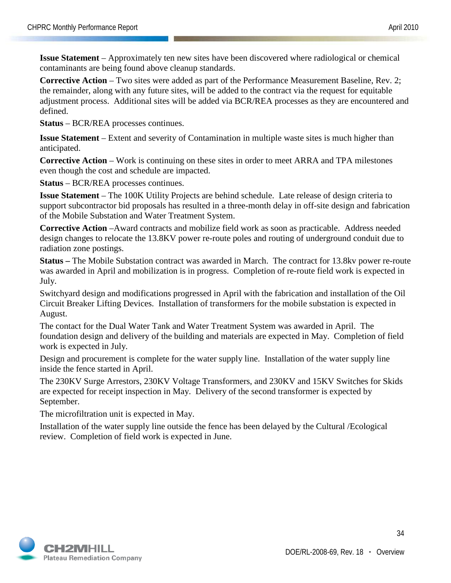**Issue Statement** – Approximately ten new sites have been discovered where radiological or chemical contaminants are being found above cleanup standards.

**Corrective Action** – Two sites were added as part of the Performance Measurement Baseline, Rev. 2; the remainder, along with any future sites, will be added to the contract via the request for equitable adjustment process. Additional sites will be added via BCR/REA processes as they are encountered and defined.

**Status** – BCR/REA processes continues.

**Issue Statement** – Extent and severity of Contamination in multiple waste sites is much higher than anticipated.

**Corrective Action** – Work is continuing on these sites in order to meet ARRA and TPA milestones even though the cost and schedule are impacted.

**Status** – BCR/REA processes continues.

**Issue Statement** – The 100K Utility Projects are behind schedule. Late release of design criteria to support subcontractor bid proposals has resulted in a three-month delay in off-site design and fabrication of the Mobile Substation and Water Treatment System.

**Corrective Action** –Award contracts and mobilize field work as soon as practicable. Address needed design changes to relocate the 13.8KV power re-route poles and routing of underground conduit due to radiation zone postings.

**Status –** The Mobile Substation contract was awarded in March. The contract for 13.8kv power re-route was awarded in April and mobilization is in progress. Completion of re-route field work is expected in July.

Switchyard design and modifications progressed in April with the fabrication and installation of the Oil Circuit Breaker Lifting Devices. Installation of transformers for the mobile substation is expected in August.

The contact for the Dual Water Tank and Water Treatment System was awarded in April. The foundation design and delivery of the building and materials are expected in May. Completion of field work is expected in July.

Design and procurement is complete for the water supply line. Installation of the water supply line inside the fence started in April.

The 230KV Surge Arrestors, 230KV Voltage Transformers, and 230KV and 15KV Switches for Skids are expected for receipt inspection in May. Delivery of the second transformer is expected by September.

The microfiltration unit is expected in May.

Installation of the water supply line outside the fence has been delayed by the Cultural /Ecological review. Completion of field work is expected in June.



34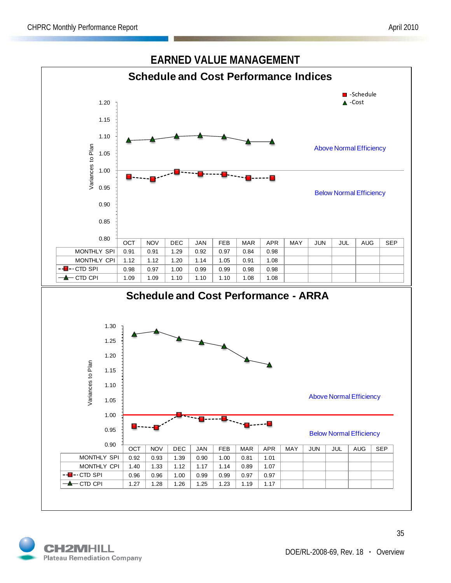

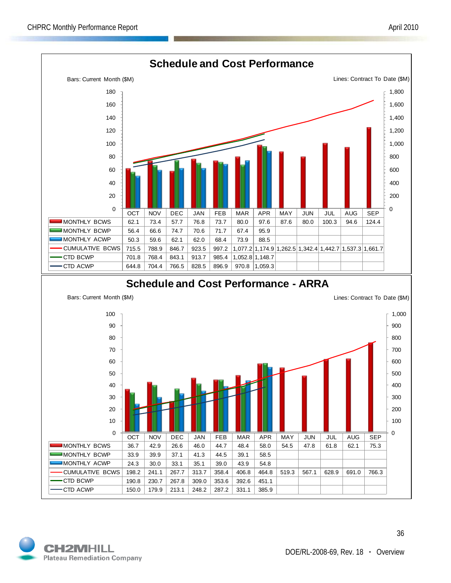

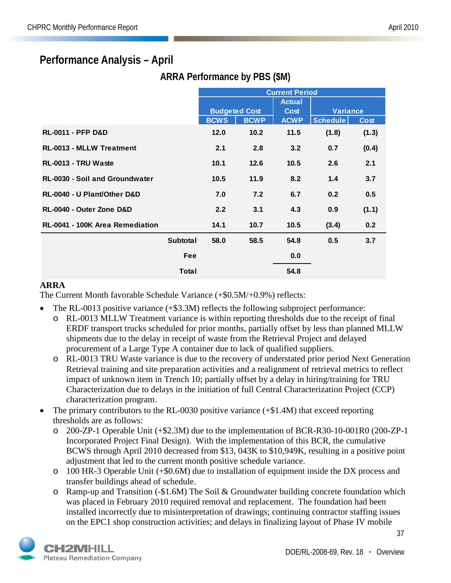## **Performance Analysis – April**

|                                       |                 | <b>Current Period</b> |                      |               |                 |             |
|---------------------------------------|-----------------|-----------------------|----------------------|---------------|-----------------|-------------|
|                                       |                 |                       |                      | <b>Actual</b> |                 |             |
|                                       |                 |                       | <b>Budgeted Cost</b> | <b>Cost</b>   | <b>Variance</b> |             |
|                                       |                 | <b>BCWS</b>           | <b>BCWP</b>          | <b>ACWP</b>   | <b>Schedule</b> | <b>Cost</b> |
| <b>RL-0011 - PFP D&amp;D</b>          |                 | 12.0                  | 10.2                 | 11.5          | (1.8)           | (1.3)       |
| <b>RL-0013 - MLLW Treatment</b>       |                 | 2.1                   | 2.8                  | 3.2           | 0.7             | (0.4)       |
| RL-0013 - TRU Waste                   |                 | 10.1                  | 12.6                 | 10.5          | 2.6             | 2.1         |
| <b>RL-0030 - Soil and Groundwater</b> |                 | 10.5                  | 11.9                 | 8.2           | 1.4             | 3.7         |
| RL-0040 - U Plant/Other D&D           |                 | 7.0                   | 7.2                  | 6.7           | 0.2             | 0.5         |
| RL-0040 - Outer Zone D&D              |                 | 2.2                   | 3.1                  | 4.3           | 0.9             | (1.1)       |
| RL-0041 - 100K Area Remediation       |                 | 14.1                  | 10.7                 | 10.5          | (3.4)           | 0.2         |
|                                       | <b>Subtotal</b> | 58.0                  | 58.5                 | 54.8          | 0.5             | 3.7         |
|                                       | Fee             |                       |                      | 0.0           |                 |             |
|                                       | <b>Total</b>    |                       |                      | 54.8          |                 |             |

## **ARRA Performance by PBS (\$M)**

#### **ARRA**

The Current Month favorable Schedule Variance (+\$0.5M/+0.9%) reflects:

- The RL-0013 positive variance (+\$3.3M) reflects the following subproject performance:
	- o RL-0013 MLLW Treatment variance is within reporting thresholds due to the receipt of final ERDF transport trucks scheduled for prior months, partially offset by less than planned MLLW shipments due to the delay in receipt of waste from the Retrieval Project and delayed procurement of a Large Type A container due to lack of qualified suppliers.
	- o RL-0013 TRU Waste variance is due to the recovery of understated prior period Next Generation Retrieval training and site preparation activities and a realignment of retrieval metrics to reflect impact of unknown item in Trench 10; partially offset by a delay in hiring/training for TRU Characterization due to delays in the initiation of full Central Characterization Project (CCP) characterization program.
- The primary contributors to the RL-0030 positive variance (+\$1.4M) that exceed reporting thresholds are as follows:
	- o 200-ZP-1 Operable Unit (+\$2.3M) due to the implementation of BCR-R30-10-001R0 (200-ZP-1 Incorporated Project Final Design). With the implementation of this BCR, the cumulative BCWS through April 2010 decreased from \$13, 043K to \$10,949K, resulting in a positive point adjustment that led to the current month positive schedule variance.
	- o 100 HR-3 Operable Unit (+\$0.6M) due to installation of equipment inside the DX process and transfer buildings ahead of schedule.
	- o Ramp-up and Transition (-\$1.6M) The Soil & Groundwater building concrete foundation which was placed in February 2010 required removal and replacement. The foundation had been installed incorrectly due to misinterpretation of drawings; continuing contractor staffing issues on the EPC1 shop construction activities; and delays in finalizing layout of Phase IV mobile

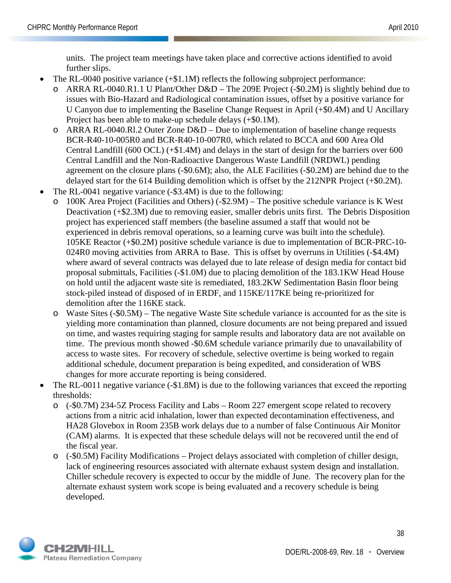units. The project team meetings have taken place and corrective actions identified to avoid further slips.

- The RL-0040 positive variance  $(+\$1.1M)$  reflects the following subproject performance:
	- o ARRA RL-0040.R1.1 U Plant/Other D&D The 209E Project (-\$0.2M) is slightly behind due to issues with Bio-Hazard and Radiological contamination issues, offset by a positive variance for U Canyon due to implementing the Baseline Change Request in April (+\$0.4M) and U Ancillary Project has been able to make-up schedule delays (+\$0.1M).
	- o ARRA RL-0040.Rl.2 Outer Zone D&D Due to implementation of baseline change requests BCR-R40-10-005R0 and BCR-R40-10-007R0, which related to BCCA and 600 Area Old Central Landfill (600 OCL) (+\$1.4M) and delays in the start of design for the barriers over 600 Central Landfill and the Non-Radioactive Dangerous Waste Landfill (NRDWL) pending agreement on the closure plans (-\$0.6M); also, the ALE Facilities (-\$0.2M) are behind due to the delayed start for the 614 Building demolition which is offset by the 212NPR Project (+\$0.2M).
- The RL-0041 negative variance (-\$3.4M) is due to the following:
	- $100K$  Area Project (Facilities and Others) (-\$2.9M) The positive schedule variance is K West Deactivation (+\$2.3M) due to removing easier, smaller debris units first. The Debris Disposition project has experienced staff members (the baseline assumed a staff that would not be experienced in debris removal operations, so a learning curve was built into the schedule). 105KE Reactor (+\$0.2M) positive schedule variance is due to implementation of BCR-PRC-10- 024R0 moving activities from ARRA to Base. This is offset by overruns in Utilities (-\$4.4M) where award of several contracts was delayed due to late release of design media for contact bid proposal submittals, Facilities (-\$1.0M) due to placing demolition of the 183.1KW Head House on hold until the adjacent waste site is remediated, 183.2KW Sedimentation Basin floor being stock-piled instead of disposed of in ERDF, and 115KE/117KE being re-prioritized for demolition after the 116KE stack.
	- o Waste Sites (-\$0.5M) The negative Waste Site schedule variance is accounted for as the site is yielding more contamination than planned, closure documents are not being prepared and issued on time, and wastes requiring staging for sample results and laboratory data are not available on time. The previous month showed -\$0.6M schedule variance primarily due to unavailability of access to waste sites. For recovery of schedule, selective overtime is being worked to regain additional schedule, document preparation is being expedited, and consideration of WBS changes for more accurate reporting is being considered.
- The RL-0011 negative variance (-\$1.8M) is due to the following variances that exceed the reporting thresholds:
	- o (-\$0.7M) 234-5Z Process Facility and Labs Room 227 emergent scope related to recovery actions from a nitric acid inhalation, lower than expected decontamination effectiveness, and HA28 Glovebox in Room 235B work delays due to a number of false Continuous Air Monitor (CAM) alarms. It is expected that these schedule delays will not be recovered until the end of the fiscal year.
	- $\circ$  (-\$0.5M) Facility Modifications Project delays associated with completion of chiller design, lack of engineering resources associated with alternate exhaust system design and installation. Chiller schedule recovery is expected to occur by the middle of June. The recovery plan for the alternate exhaust system work scope is being evaluated and a recovery schedule is being developed.

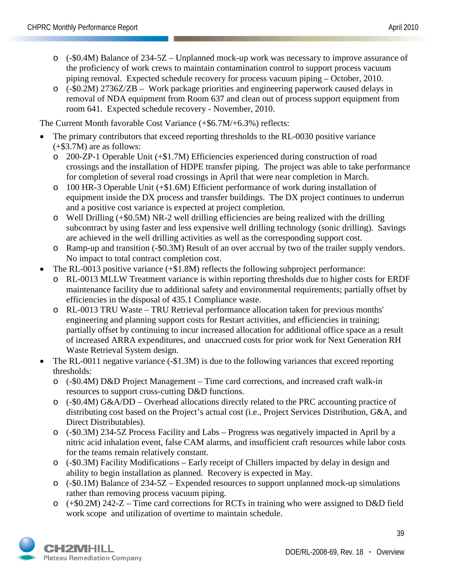- o (-\$0.4M) Balance of 234-5Z Unplanned mock-up work was necessary to improve assurance of the proficiency of work crews to maintain contamination control to support process vacuum piping removal. Expected schedule recovery for process vacuum piping – October, 2010.
- o (-\$0.2M) 2736Z/ZB Work package priorities and engineering paperwork caused delays in removal of NDA equipment from Room 637 and clean out of process support equipment from room 641. Expected schedule recovery - November, 2010.

The Current Month favorable Cost Variance (+\$6.7M/+6.3%) reflects:

- The primary contributors that exceed reporting thresholds to the RL-0030 positive variance (+\$3.7M) are as follows:
	- o 200-ZP-1 Operable Unit (+\$1.7M) Efficiencies experienced during construction of road crossings and the installation of HDPE transfer piping. The project was able to take performance for completion of several road crossings in April that were near completion in March.
	- o 100 HR-3 Operable Unit (+\$1.6M) Efficient performance of work during installation of equipment inside the DX process and transfer buildings. The DX project continues to underrun and a positive cost variance is expected at project completion.
	- o Well Drilling (+\$0.5M) NR-2 well drilling efficiencies are being realized with the drilling subcontract by using faster and less expensive well drilling technology (sonic drilling). Savings are achieved in the well drilling activities as well as the corresponding support cost.
	- o Ramp-up and transition (-\$0.3M) Result of an over accrual by two of the trailer supply vendors. No impact to total contract completion cost.
- The RL-0013 positive variance (+\$1.8M) reflects the following subproject performance:
	- RL-0013 MLLW Treatment variance is within reporting thresholds due to higher costs for ERDF maintenance facility due to additional safety and environmental requirements; partially offset by efficiencies in the disposal of 435.1 Compliance waste.
	- o RL-0013 TRU Waste TRU Retrieval performance allocation taken for previous months' engineering and planning support costs for Restart activities, and efficiencies in training; partially offset by continuing to incur increased allocation for additional office space as a result of increased ARRA expenditures, and unaccrued costs for prior work for Next Generation RH Waste Retrieval System design.
- The RL-0011 negative variance (-\$1.3M) is due to the following variances that exceed reporting thresholds:
	- o (-\$0.4M) D&D Project Management Time card corrections, and increased craft walk-in resources to support cross-cutting D&D functions.
	- o (-\$0.4M) G&A/DD Overhead allocations directly related to the PRC accounting practice of distributing cost based on the Project's actual cost (i.e., Project Services Distribution, G&A, and Direct Distributables).
	- o (-\$0.3M) 234-5Z Process Facility and Labs Progress was negatively impacted in April by a nitric acid inhalation event, false CAM alarms, and insufficient craft resources while labor costs for the teams remain relatively constant.
	- o (-\$0.3M) Facility Modifications Early receipt of Chillers impacted by delay in design and ability to begin installation as planned. Recovery is expected in May.
	- o (-\$0.1M) Balance of 234-5Z Expended resources to support unplanned mock-up simulations rather than removing process vacuum piping.
	- o (+\$0.2M) 242-Z Time card corrections for RCTs in training who were assigned to D&D field work scope and utilization of overtime to maintain schedule.

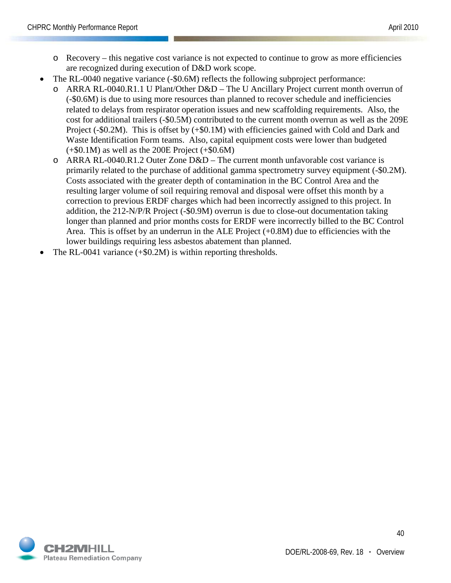- o Recovery this negative cost variance is not expected to continue to grow as more efficiencies are recognized during execution of D&D work scope.
- The RL-0040 negative variance (-\$0.6M) reflects the following subproject performance:
	- o ARRA RL-0040.R1.1 U Plant/Other D&D The U Ancillary Project current month overrun of (-\$0.6M) is due to using more resources than planned to recover schedule and inefficiencies related to delays from respirator operation issues and new scaffolding requirements. Also, the cost for additional trailers (-\$0.5M) contributed to the current month overrun as well as the 209E Project (-\$0.2M). This is offset by (+\$0.1M) with efficiencies gained with Cold and Dark and Waste Identification Form teams. Also, capital equipment costs were lower than budgeted  $(+\$0.1M)$  as well as the 200E Project  $(+\$0.6M)$
	- $\circ$  ARRA RL-0040.R1.2 Outer Zone D&D The current month unfavorable cost variance is primarily related to the purchase of additional gamma spectrometry survey equipment (-\$0.2M). Costs associated with the greater depth of contamination in the BC Control Area and the resulting larger volume of soil requiring removal and disposal were offset this month by a correction to previous ERDF charges which had been incorrectly assigned to this project. In addition, the 212-N/P/R Project (-\$0.9M) overrun is due to close-out documentation taking longer than planned and prior months costs for ERDF were incorrectly billed to the BC Control Area. This is offset by an underrun in the ALE Project  $(+0.8M)$  due to efficiencies with the lower buildings requiring less asbestos abatement than planned.
- The RL-0041 variance  $(+\$0.2M)$  is within reporting thresholds.

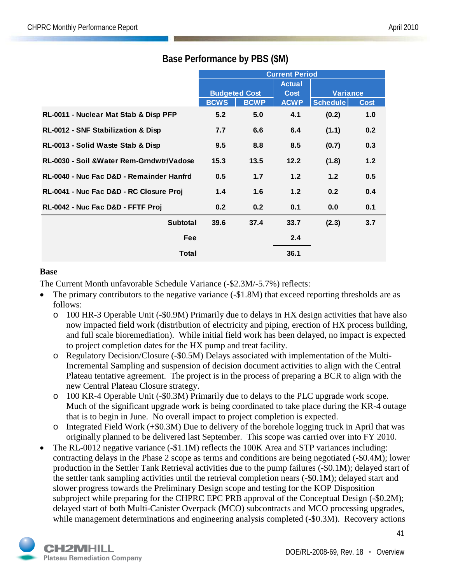|                                           | <b>Current Period</b> |                      |               |                 |             |
|-------------------------------------------|-----------------------|----------------------|---------------|-----------------|-------------|
|                                           |                       |                      | <b>Actual</b> |                 |             |
|                                           |                       | <b>Budgeted Cost</b> | <b>Cost</b>   | <b>Variance</b> |             |
|                                           | <b>BCWS</b>           | <b>BCWP</b>          | <b>ACWP</b>   | Schedule        | <b>Cost</b> |
| RL-0011 - Nuclear Mat Stab & Disp PFP     | 5.2                   | 5.0                  | 4.1           | (0.2)           | 1.0         |
| RL-0012 - SNF Stabilization & Disp        | 7.7                   | 6.6                  | 6.4           | (1.1)           | 0.2         |
| RL-0013 - Solid Waste Stab & Disp         | 9.5                   | 8.8                  | 8.5           | (0.7)           | 0.3         |
| RL-0030 - Soil & Water Rem-Grndwtr/Vadose | 15.3                  | 13.5                 | 12.2          | (1.8)           | 1.2         |
| RL-0040 - Nuc Fac D&D - Remainder Hanfrd  | 0.5                   | 1.7                  | 1.2           | 1.2             | 0.5         |
| RL-0041 - Nuc Fac D&D - RC Closure Proj   | 1.4                   | 1.6                  | 1.2           | 0.2             | 0.4         |
| RL-0042 - Nuc Fac D&D - FFTF Proj         | 0.2                   | 0.2                  | 0.1           | 0.0             | 0.1         |
| <b>Subtotal</b>                           | 39.6                  | 37.4                 | 33.7          | (2.3)           | 3.7         |
| Fee                                       |                       |                      | 2.4           |                 |             |
| Total                                     |                       |                      | 36.1          |                 |             |

## **Base Performance by PBS (\$M)**

#### **Base**

The Current Month unfavorable Schedule Variance (-\$2.3M/-5.7%) reflects:

- The primary contributors to the negative variance (-\$1.8M) that exceed reporting thresholds are as follows:
	- o 100 HR-3 Operable Unit (-\$0.9M) Primarily due to delays in HX design activities that have also now impacted field work (distribution of electricity and piping, erection of HX process building, and full scale bioremediation). While initial field work has been delayed, no impact is expected to project completion dates for the HX pump and treat facility.
	- o Regulatory Decision/Closure (-\$0.5M) Delays associated with implementation of the Multi-Incremental Sampling and suspension of decision document activities to align with the Central Plateau tentative agreement. The project is in the process of preparing a BCR to align with the new Central Plateau Closure strategy.
	- o 100 KR-4 Operable Unit (-\$0.3M) Primarily due to delays to the PLC upgrade work scope. Much of the significant upgrade work is being coordinated to take place during the KR-4 outage that is to begin in June. No overall impact to project completion is expected.
	- Integrated Field Work  $(+\$0.3M)$  Due to delivery of the borehole logging truck in April that was originally planned to be delivered last September. This scope was carried over into FY 2010.
- The RL-0012 negative variance (-\$1.1M) reflects the 100K Area and STP variances including: contracting delays in the Phase 2 scope as terms and conditions are being negotiated (-\$0.4M); lower production in the Settler Tank Retrieval activities due to the pump failures (-\$0.1M); delayed start of the settler tank sampling activities until the retrieval completion nears (-\$0.1M); delayed start and slower progress towards the Preliminary Design scope and testing for the KOP Disposition subproject while preparing for the CHPRC EPC PRB approval of the Conceptual Design (-\$0.2M); delayed start of both Multi-Canister Overpack (MCO) subcontracts and MCO processing upgrades, while management determinations and engineering analysis completed (-\$0.3M). Recovery actions

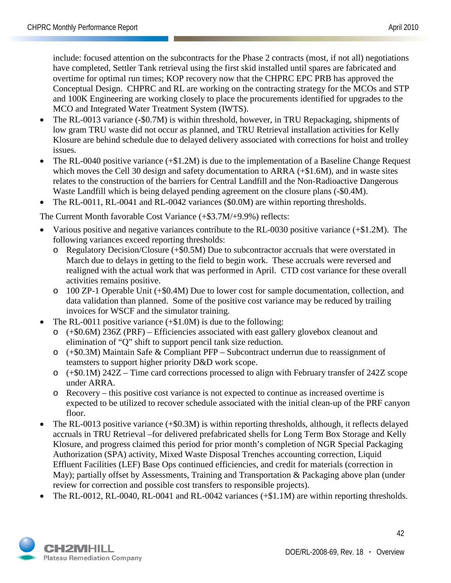include: focused attention on the subcontracts for the Phase 2 contracts (most, if not all) negotiations have completed, Settler Tank retrieval using the first skid installed until spares are fabricated and overtime for optimal run times; KOP recovery now that the CHPRC EPC PRB has approved the Conceptual Design. CHPRC and RL are working on the contracting strategy for the MCOs and STP and 100K Engineering are working closely to place the procurements identified for upgrades to the MCO and Integrated Water Treatment System (IWTS).

- The RL-0013 variance (-\$0.7M) is within threshold, however, in TRU Repackaging, shipments of low gram TRU waste did not occur as planned, and TRU Retrieval installation activities for Kelly Klosure are behind schedule due to delayed delivery associated with corrections for hoist and trolley issues.
- The RL-0040 positive variance (+\$1.2M) is due to the implementation of a Baseline Change Request which moves the Cell 30 design and safety documentation to ARRA (+\$1.6M), and in waste sites relates to the construction of the barriers for Central Landfill and the Non-Radioactive Dangerous Waste Landfill which is being delayed pending agreement on the closure plans (-\$0.4M).
- The RL-0011, RL-0041 and RL-0042 variances (\$0.0M) are within reporting thresholds.

The Current Month favorable Cost Variance (+\$3.7M/+9.9%) reflects:

- Various positive and negative variances contribute to the RL-0030 positive variance (+\$1.2M). The following variances exceed reporting thresholds:
	- o Regulatory Decision/Closure (+\$0.5M) Due to subcontractor accruals that were overstated in March due to delays in getting to the field to begin work. These accruals were reversed and realigned with the actual work that was performed in April. CTD cost variance for these overall activities remains positive.
	- o 100 ZP-1 Operable Unit (+\$0.4M) Due to lower cost for sample documentation, collection, and data validation than planned. Some of the positive cost variance may be reduced by trailing invoices for WSCF and the simulator training.
- The RL-0011 positive variance (+\$1.0M) is due to the following:
	- $\circ$  (+\$0.6M) 236Z (PRF) Efficiencies associated with east gallery glovebox cleanout and elimination of "Q" shift to support pencil tank size reduction.
	- o (+\$0.3M) Maintain Safe & Compliant PFP Subcontract underrun due to reassignment of teamsters to support higher priority D&D work scope.
	- o (+\$0.1M) 242Z Time card corrections processed to align with February transfer of 242Z scope under ARRA.
	- o Recovery this positive cost variance is not expected to continue as increased overtime is expected to be utilized to recover schedule associated with the initial clean-up of the PRF canyon floor.
- The RL-0013 positive variance (+\$0.3M) is within reporting thresholds, although, it reflects delayed accruals in TRU Retrieval –for delivered prefabricated shells for Long Term Box Storage and Kelly Klosure, and progress claimed this period for prior month's completion of NGR Special Packaging Authorization (SPA) activity, Mixed Waste Disposal Trenches accounting correction, Liquid Effluent Facilities (LEF) Base Ops continued efficiencies, and credit for materials (correction in May); partially offset by Assessments, Training and Transportation  $\&$  Packaging above plan (under review for correction and possible cost transfers to responsible projects).
- The RL-0012, RL-0040, RL-0041 and RL-0042 variances (+\$1.1M) are within reporting thresholds.

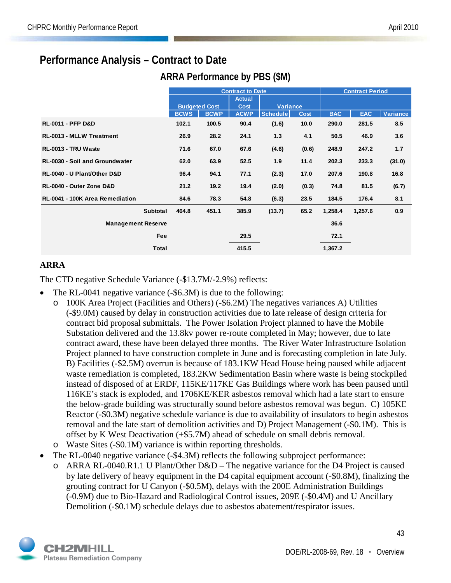## **Performance Analysis – Contract to Date**

**ARRA Performance by PBS (\$M)**

|                                       | <b>Contract to Date</b> |                      |               |                 |             |            | <b>Contract Period</b> |                 |
|---------------------------------------|-------------------------|----------------------|---------------|-----------------|-------------|------------|------------------------|-----------------|
|                                       |                         |                      | <b>Actual</b> |                 |             |            |                        |                 |
|                                       |                         | <b>Budgeted Cost</b> | <b>Cost</b>   | <b>Variance</b> |             |            |                        |                 |
|                                       | <b>BCWS</b>             | <b>BCWP</b>          | <b>ACWP</b>   | <b>Schedule</b> | <b>Cost</b> | <b>BAC</b> | <b>EAC</b>             | <b>Variance</b> |
| <b>RL-0011 - PFP D&amp;D</b>          | 102.1                   | 100.5                | 90.4          | (1.6)           | 10.0        | 290.0      | 281.5                  | 8.5             |
| <b>RL-0013 - MLLW Treatment</b>       | 26.9                    | 28.2                 | 24.1          | 1.3             | 4.1         | 50.5       | 46.9                   | 3.6             |
| RL-0013 - TRU Waste                   | 71.6                    | 67.0                 | 67.6          | (4.6)           | (0.6)       | 248.9      | 247.2                  | 1.7             |
| <b>RL-0030 - Soil and Groundwater</b> | 62.0                    | 63.9                 | 52.5          | 1.9             | 11.4        | 202.3      | 233.3                  | (31.0)          |
| RL-0040 - U Plant/Other D&D           | 96.4                    | 94.1                 | 77.1          | (2.3)           | 17.0        | 207.6      | 190.8                  | 16.8            |
| RL-0040 - Outer Zone D&D              | 21.2                    | 19.2                 | 19.4          | (2.0)           | (0.3)       | 74.8       | 81.5                   | (6.7)           |
| RL-0041 - 100K Area Remediation       | 84.6                    | 78.3                 | 54.8          | (6.3)           | 23.5        | 184.5      | 176.4                  | 8.1             |
| Subtotal                              | 464.8                   | 451.1                | 385.9         | (13.7)          | 65.2        | 1,258.4    | 1,257.6                | 0.9             |
| <b>Management Reserve</b>             |                         |                      |               |                 |             | 36.6       |                        |                 |
| <b>Fee</b>                            |                         |                      | 29.5          |                 |             | 72.1       |                        |                 |
| Total                                 |                         |                      | 415.5         |                 |             | 1,367.2    |                        |                 |

## **ARRA**

The CTD negative Schedule Variance (-\$13.7M/-2.9%) reflects:

- The RL-0041 negative variance (-\$6.3M) is due to the following:
	- o 100K Area Project (Facilities and Others) (-\$6.2M) The negatives variances A) Utilities (-\$9.0M) caused by delay in construction activities due to late release of design criteria for contract bid proposal submittals. The Power Isolation Project planned to have the Mobile Substation delivered and the 13.8kv power re-route completed in May; however, due to late contract award, these have been delayed three months. The River Water Infrastructure Isolation Project planned to have construction complete in June and is forecasting completion in late July. B) Facilities (-\$2.5M) overrun is because of 183.1KW Head House being paused while adjacent waste remediation is completed, 183.2KW Sedimentation Basin where waste is being stockpiled instead of disposed of at ERDF, 115KE/117KE Gas Buildings where work has been paused until 116KE's stack is exploded, and 1706KE/KER asbestos removal which had a late start to ensure the below-grade building was structurally sound before asbestos removal was begun. C) 105KE Reactor (-\$0.3M) negative schedule variance is due to availability of insulators to begin asbestos removal and the late start of demolition activities and D) Project Management (-\$0.1M). This is offset by K West Deactivation (+\$5.7M) ahead of schedule on small debris removal.
	- o Waste Sites (-\$0.1M) variance is within reporting thresholds.
- The RL-0040 negative variance (-\$4.3M) reflects the following subproject performance:
	- ARRA RL-0040.R1.1 U Plant/Other  $D&D$  The negative variance for the D4 Project is caused by late delivery of heavy equipment in the D4 capital equipment account (-\$0.8M), finalizing the grouting contract for U Canyon (-\$0.5M), delays with the 200E Administration Buildings (-0.9M) due to Bio-Hazard and Radiological Control issues, 209E (-\$0.4M) and U Ancillary Demolition (-\$0.1M) schedule delays due to asbestos abatement/respirator issues.

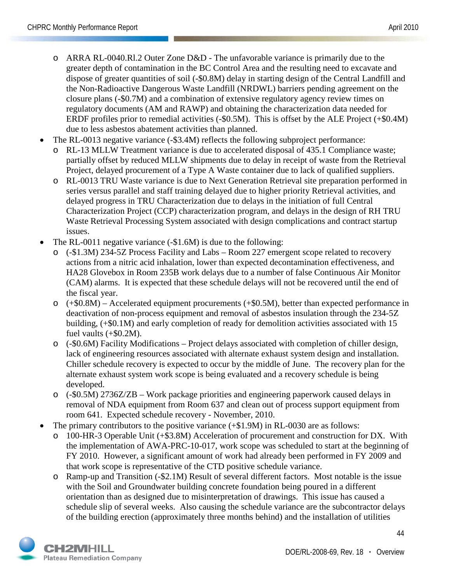- o ARRA RL-0040.Rl.2 Outer Zone D&D The unfavorable variance is primarily due to the greater depth of contamination in the BC Control Area and the resulting need to excavate and dispose of greater quantities of soil (-\$0.8M) delay in starting design of the Central Landfill and the Non-Radioactive Dangerous Waste Landfill (NRDWL) barriers pending agreement on the closure plans (-\$0.7M) and a combination of extensive regulatory agency review times on regulatory documents (AM and RAWP) and obtaining the characterization data needed for ERDF profiles prior to remedial activities (-\$0.5M). This is offset by the ALE Project (+\$0.4M) due to less asbestos abatement activities than planned.
- The RL-0013 negative variance (-\$3.4M) reflects the following subproject performance:
	- o RL-13 MLLW Treatment variance is due to accelerated disposal of 435.1 Compliance waste; partially offset by reduced MLLW shipments due to delay in receipt of waste from the Retrieval Project, delayed procurement of a Type A Waste container due to lack of qualified suppliers.
	- o RL-0013 TRU Waste variance is due to Next Generation Retrieval site preparation performed in series versus parallel and staff training delayed due to higher priority Retrieval activities, and delayed progress in TRU Characterization due to delays in the initiation of full Central Characterization Project (CCP) characterization program, and delays in the design of RH TRU Waste Retrieval Processing System associated with design complications and contract startup issues.
- The RL-0011 negative variance (-\$1.6M) is due to the following:
	- o (-\$1.3M) 234-5Z Process Facility and Labs Room 227 emergent scope related to recovery actions from a nitric acid inhalation, lower than expected decontamination effectiveness, and HA28 Glovebox in Room 235B work delays due to a number of false Continuous Air Monitor (CAM) alarms. It is expected that these schedule delays will not be recovered until the end of the fiscal year.
	- o (+\$0.8M) Accelerated equipment procurements (+\$0.5M), better than expected performance in deactivation of non-process equipment and removal of asbestos insulation through the 234-5Z building, (+\$0.1M) and early completion of ready for demolition activities associated with 15 fuel vaults (+\$0.2M).
	- o (-\$0.6M) Facility Modifications Project delays associated with completion of chiller design, lack of engineering resources associated with alternate exhaust system design and installation. Chiller schedule recovery is expected to occur by the middle of June. The recovery plan for the alternate exhaust system work scope is being evaluated and a recovery schedule is being developed.
	- o (-\$0.5M) 2736Z/ZB Work package priorities and engineering paperwork caused delays in removal of NDA equipment from Room 637 and clean out of process support equipment from room 641. Expected schedule recovery - November, 2010.
- The primary contributors to the positive variance  $(+\$1.9M)$  in RL-0030 are as follows:
	- 100-HR-3 Operable Unit (+\$3.8M) Acceleration of procurement and construction for DX. With the implementation of AWA-PRC-10-017, work scope was scheduled to start at the beginning of FY 2010. However, a significant amount of work had already been performed in FY 2009 and that work scope is representative of the CTD positive schedule variance.
	- o Ramp-up and Transition (-\$2.1M) Result of several different factors. Most notable is the issue with the Soil and Groundwater building concrete foundation being poured in a different orientation than as designed due to misinterpretation of drawings. This issue has caused a schedule slip of several weeks. Also causing the schedule variance are the subcontractor delays of the building erection (approximately three months behind) and the installation of utilities

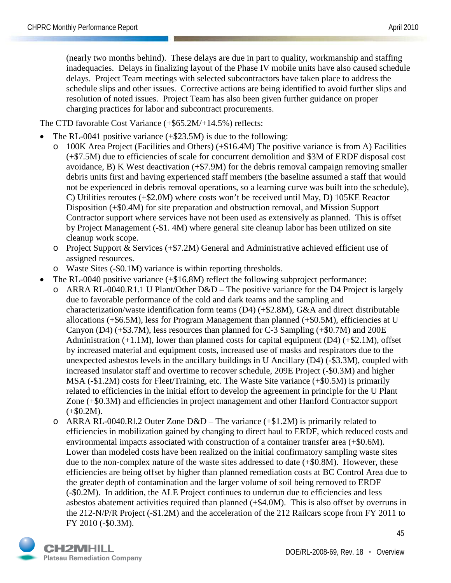(nearly two months behind). These delays are due in part to quality, workmanship and staffing inadequacies. Delays in finalizing layout of the Phase IV mobile units have also caused schedule delays. Project Team meetings with selected subcontractors have taken place to address the schedule slips and other issues. Corrective actions are being identified to avoid further slips and resolution of noted issues. Project Team has also been given further guidance on proper charging practices for labor and subcontract procurements.

The CTD favorable Cost Variance (+\$65.2M/+14.5%) reflects:

- The RL-0041 positive variance  $(+\$23.5M)$  is due to the following:
	- $100K$  Area Project (Facilities and Others) ( $+$ \$16.4M) The positive variance is from A) Facilities (+\$7.5M) due to efficiencies of scale for concurrent demolition and \$3M of ERDF disposal cost avoidance, B) K West deactivation (+\$7.9M) for the debris removal campaign removing smaller debris units first and having experienced staff members (the baseline assumed a staff that would not be experienced in debris removal operations, so a learning curve was built into the schedule), C) Utilities reroutes (+\$2.0M) where costs won't be received until May, D) 105KE Reactor Disposition (+\$0.4M) for site preparation and obstruction removal, and Mission Support Contractor support where services have not been used as extensively as planned. This is offset by Project Management (-\$1. 4M) where general site cleanup labor has been utilized on site cleanup work scope.
	- o Project Support & Services (+\$7.2M) General and Administrative achieved efficient use of assigned resources.
	- o Waste Sites (-\$0.1M) variance is within reporting thresholds.
- The RL-0040 positive variance (+\$16.8M) reflect the following subproject performance:
	- o ARRA RL-0040.R1.1 U Plant/Other D&D The positive variance for the D4 Project is largely due to favorable performance of the cold and dark teams and the sampling and characterization/waste identification form teams (D4) (+\$2.8M), G&A and direct distributable allocations  $(+\$6.5M)$ , less for Program Management than planned  $(+\$0.5M)$ , efficiencies at U Canyon (D4) (+\$3.7M), less resources than planned for C-3 Sampling (+\$0.7M) and 200E Administration  $(+1.1M)$ , lower than planned costs for capital equipment  $(D4)$   $(+\$2.1M)$ , offset by increased material and equipment costs, increased use of masks and respirators due to the unexpected asbestos levels in the ancillary buildings in U Ancillary (D4) (-\$3.3M), coupled with increased insulator staff and overtime to recover schedule, 209E Project (-\$0.3M) and higher MSA (-\$1.2M) costs for Fleet/Training, etc. The Waste Site variance (+\$0.5M) is primarily related to efficiencies in the initial effort to develop the agreement in principle for the U Plant Zone (+\$0.3M) and efficiencies in project management and other Hanford Contractor support  $(+\$0.2M).$
	- $\circ$  ARRA RL-0040.Rl.2 Outer Zone D&D The variance (+\$1.2M) is primarily related to efficiencies in mobilization gained by changing to direct haul to ERDF, which reduced costs and environmental impacts associated with construction of a container transfer area (+\$0.6M). Lower than modeled costs have been realized on the initial confirmatory sampling waste sites due to the non-complex nature of the waste sites addressed to date (+\$0.8M). However, these efficiencies are being offset by higher than planned remediation costs at BC Control Area due to the greater depth of contamination and the larger volume of soil being removed to ERDF (-\$0.2M). In addition, the ALE Project continues to underrun due to efficiencies and less asbestos abatement activities required than planned (+\$4.0M). This is also offset by overruns in the 212-N/P/R Project (-\$1.2M) and the acceleration of the 212 Railcars scope from FY 2011 to FY 2010 (-\$0.3M).

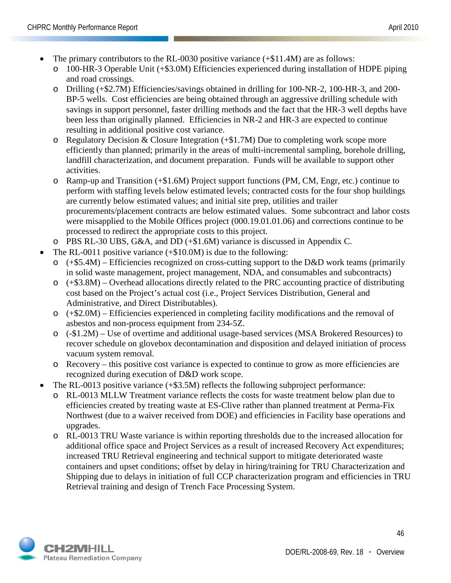- The primary contributors to the RL-0030 positive variance  $(+\$11.4M)$  are as follows:
	- o 100-HR-3 Operable Unit (+\$3.0M) Efficiencies experienced during installation of HDPE piping and road crossings.
	- o Drilling (+\$2.7M) Efficiencies/savings obtained in drilling for 100-NR-2, 100-HR-3, and 200- BP-5 wells. Cost efficiencies are being obtained through an aggressive drilling schedule with savings in support personnel, faster drilling methods and the fact that the HR-3 well depths have been less than originally planned. Efficiencies in NR-2 and HR-3 are expected to continue resulting in additional positive cost variance.
	- $\circ$  Regulatory Decision & Closure Integration (+\$1.7M) Due to completing work scope more efficiently than planned; primarily in the areas of multi-incremental sampling, borehole drilling, landfill characterization, and document preparation. Funds will be available to support other activities.
	- o Ramp-up and Transition (+\$1.6M) Project support functions (PM, CM, Engr, etc.) continue to perform with staffing levels below estimated levels; contracted costs for the four shop buildings are currently below estimated values; and initial site prep, utilities and trailer procurements/placement contracts are below estimated values. Some subcontract and labor costs were misapplied to the Mobile Offices project (000.19.01.01.06) and corrections continue to be processed to redirect the appropriate costs to this project.
	- o PBS RL-30 UBS, G&A, and DD (+\$1.6M) variance is discussed in Appendix C.
- The RL-0011 positive variance  $(+\$10.0M)$  is due to the following:
	- $(+\$5.4M)$  Efficiencies recognized on cross-cutting support to the D&D work teams (primarily in solid waste management, project management, NDA, and consumables and subcontracts)
	- o (+\$3.8M) Overhead allocations directly related to the PRC accounting practice of distributing cost based on the Project's actual cost (i.e., Project Services Distribution, General and Administrative, and Direct Distributables).
	- o (+\$2.0M) Efficiencies experienced in completing facility modifications and the removal of asbestos and non-process equipment from 234-5Z.
	- o (-\$1.2M) Use of overtime and additional usage-based services (MSA Brokered Resources) to recover schedule on glovebox decontamination and disposition and delayed initiation of process vacuum system removal.
	- o Recovery this positive cost variance is expected to continue to grow as more efficiencies are recognized during execution of D&D work scope.
- The RL-0013 positive variance (+\$3.5M) reflects the following subproject performance:
	- RL-0013 MLLW Treatment variance reflects the costs for waste treatment below plan due to efficiencies created by treating waste at ES-Clive rather than planned treatment at Perma-Fix Northwest (due to a waiver received from DOE) and efficiencies in Facility base operations and upgrades.
	- o RL-0013 TRU Waste variance is within reporting thresholds due to the increased allocation for additional office space and Project Services as a result of increased Recovery Act expenditures; increased TRU Retrieval engineering and technical support to mitigate deteriorated waste containers and upset conditions; offset by delay in hiring/training for TRU Characterization and Shipping due to delays in initiation of full CCP characterization program and efficiencies in TRU Retrieval training and design of Trench Face Processing System.

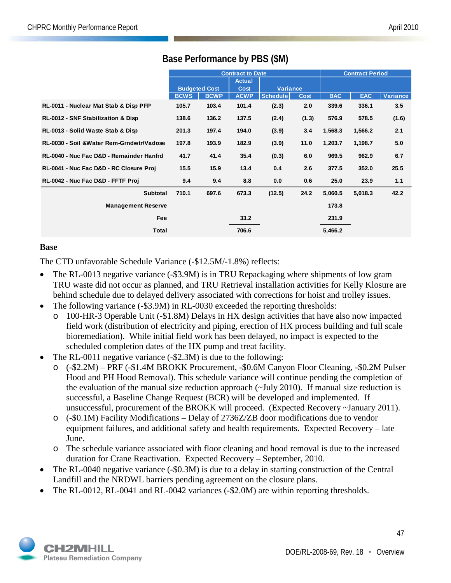|                                           | <b>Contract to Date</b> |             |               |                 |             |            | <b>Contract Period</b> |                 |
|-------------------------------------------|-------------------------|-------------|---------------|-----------------|-------------|------------|------------------------|-----------------|
|                                           |                         |             | <b>Actual</b> |                 |             |            |                        |                 |
|                                           | <b>Budgeted Cost</b>    |             | Cost          | <b>Variance</b> |             |            |                        |                 |
|                                           | <b>BCWS</b>             | <b>BCWP</b> | <b>ACWP</b>   | <b>Schedule</b> | <b>Cost</b> | <b>BAC</b> | <b>EAC</b>             | <b>Variance</b> |
| RL-0011 - Nuclear Mat Stab & Disp PFP     | 105.7                   | 103.4       | 101.4         | (2.3)           | 2.0         | 339.6      | 336.1                  | 3.5             |
| RL-0012 - SNF Stabilization & Disp        | 138.6                   | 136.2       | 137.5         | (2.4)           | (1.3)       | 576.9      | 578.5                  | (1.6)           |
| RL-0013 - Solid Waste Stab & Disp         | 201.3                   | 197.4       | 194.0         | (3.9)           | 3.4         | 1,568.3    | 1,566.2                | 2.1             |
| RL-0030 - Soil & Water Rem-Grndwtr/Vadose | 197.8                   | 193.9       | 182.9         | (3.9)           | 11.0        | 1,203.7    | 1,198.7                | 5.0             |
| RL-0040 - Nuc Fac D&D - Remainder Hanfrd  | 41.7                    | 41.4        | 35.4          | (0.3)           | 6.0         | 969.5      | 962.9                  | 6.7             |
| RL-0041 - Nuc Fac D&D - RC Closure Proj   | 15.5                    | 15.9        | 13.4          | 0.4             | 2.6         | 377.5      | 352.0                  | 25.5            |
| RL-0042 - Nuc Fac D&D - FFTF Proj         | 9.4                     | 9.4         | 8.8           | 0.0             | 0.6         | 25.0       | 23.9                   | 1.1             |
| Subtotal                                  | 710.1                   | 697.6       | 673.3         | (12.5)          | 24.2        | 5,060.5    | 5,018.3                | 42.2            |
| <b>Management Reserve</b>                 |                         |             |               |                 |             | 173.8      |                        |                 |
| Fee                                       |                         |             | 33.2          |                 |             | 231.9      |                        |                 |
| Total                                     |                         |             | 706.6         |                 |             | 5,466.2    |                        |                 |

## **Base Performance by PBS (\$M)**

#### **Base**

The CTD unfavorable Schedule Variance (-\$12.5M/-1.8%) reflects:

- The RL-0013 negative variance (-\$3.9M) is in TRU Repackaging where shipments of low gram TRU waste did not occur as planned, and TRU Retrieval installation activities for Kelly Klosure are behind schedule due to delayed delivery associated with corrections for hoist and trolley issues.
- The following variance (-\$3.9M) in RL-0030 exceeded the reporting thresholds:
	- o 100-HR-3 Operable Unit (-\$1.8M) Delays in HX design activities that have also now impacted field work (distribution of electricity and piping, erection of HX process building and full scale bioremediation). While initial field work has been delayed, no impact is expected to the scheduled completion dates of the HX pump and treat facility.
- The RL-0011 negative variance (-\$2.3M) is due to the following:
	- o (-\$2.2M) PRF (-\$1.4M BROKK Procurement, -\$0.6M Canyon Floor Cleaning, -\$0.2M Pulser Hood and PH Hood Removal). This schedule variance will continue pending the completion of the evaluation of the manual size reduction approach (~July 2010). If manual size reduction is successful, a Baseline Change Request (BCR) will be developed and implemented. If unsuccessful, procurement of the BROKK will proceed. (Expected Recovery ~January 2011).
	- o (-\$0.1M) Facility Modifications Delay of 2736Z/ZB door modifications due to vendor equipment failures, and additional safety and health requirements. Expected Recovery – late June.
	- o The schedule variance associated with floor cleaning and hood removal is due to the increased duration for Crane Reactivation. Expected Recovery – September, 2010.
- The RL-0040 negative variance (-\$0.3M) is due to a delay in starting construction of the Central Landfill and the NRDWL barriers pending agreement on the closure plans.
- The RL-0012, RL-0041 and RL-0042 variances (-\$2.0M) are within reporting thresholds.

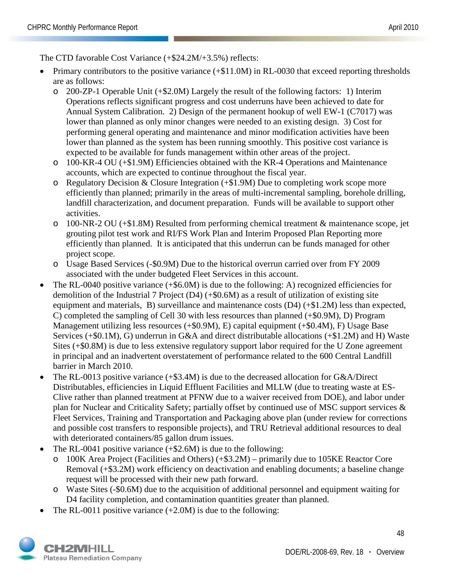The CTD favorable Cost Variance (+\$24.2M/+3.5%) reflects:

- Primary contributors to the positive variance (+\$11.0M) in RL-0030 that exceed reporting thresholds are as follows:
	- o 200-ZP-1 Operable Unit (+\$2.0M) Largely the result of the following factors: 1) Interim Operations reflects significant progress and cost underruns have been achieved to date for Annual System Calibration. 2) Design of the permanent hookup of well EW-1 (C7017) was lower than planned as only minor changes were needed to an existing design. 3) Cost for performing general operating and maintenance and minor modification activities have been lower than planned as the system has been running smoothly. This positive cost variance is expected to be available for funds management within other areas of the project.
	- o 100-KR-4 OU (+\$1.9M) Efficiencies obtained with the KR-4 Operations and Maintenance accounts, which are expected to continue throughout the fiscal year.
	- $\circ$  Regulatory Decision & Closure Integration (+\$1.9M) Due to completing work scope more efficiently than planned; primarily in the areas of multi-incremental sampling, borehole drilling, landfill characterization, and document preparation. Funds will be available to support other activities.
	- o 100-NR-2 OU (+\$1.8M) Resulted from performing chemical treatment & maintenance scope, jet grouting pilot test work and RI/FS Work Plan and Interim Proposed Plan Reporting more efficiently than planned. It is anticipated that this underrun can be funds managed for other project scope.
	- o Usage Based Services (-\$0.9M) Due to the historical overrun carried over from FY 2009 associated with the under budgeted Fleet Services in this account.
- The RL-0040 positive variance (+\$6.0M) is due to the following: A) recognized efficiencies for demolition of the Industrial 7 Project (D4) (+\$0.6M) as a result of utilization of existing site equipment and materials, B) surveillance and maintenance costs (D4) (+\$1.2M) less than expected, C) completed the sampling of Cell 30 with less resources than planned (+\$0.9M), D) Program Management utilizing less resources (+\$0.9M), E) capital equipment (+\$0.4M), F) Usage Base Services (+\$0.1M), G) underrun in G&A and direct distributable allocations (+\$1.2M) and H) Waste Sites (+\$0.8M) is due to less extensive regulatory support labor required for the U Zone agreement in principal and an inadvertent overstatement of performance related to the 600 Central Landfill barrier in March 2010.
- The RL-0013 positive variance (+\$3.4M) is due to the decreased allocation for G&A/Direct Distributables, efficiencies in Liquid Effluent Facilities and MLLW (due to treating waste at ES-Clive rather than planned treatment at PFNW due to a waiver received from DOE), and labor under plan for Nuclear and Criticality Safety; partially offset by continued use of MSC support services & Fleet Services, Training and Transportation and Packaging above plan (under review for corrections and possible cost transfers to responsible projects), and TRU Retrieval additional resources to deal with deteriorated containers/85 gallon drum issues.
- The RL-0041 positive variance  $(+\$2.6M)$  is due to the following:
	- o 100K Area Project (Facilities and Others) (+\$3.2M) primarily due to 105KE Reactor Core Removal (+\$3.2M) work efficiency on deactivation and enabling documents; a baseline change request will be processed with their new path forward.
	- o Waste Sites (-\$0.6M) due to the acquisition of additional personnel and equipment waiting for D4 facility completion, and contamination quantities greater than planned.
- The RL-0011 positive variance  $(+2.0M)$  is due to the following:

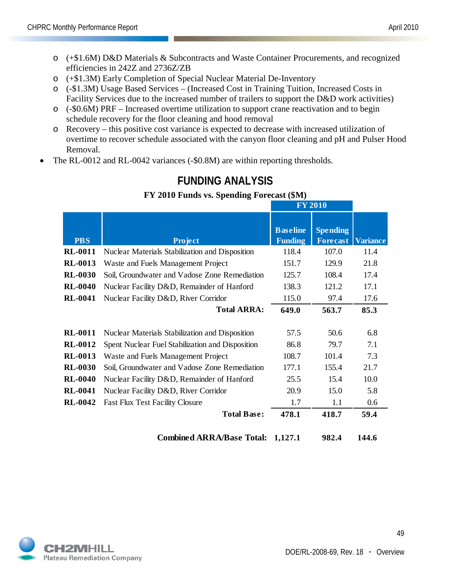- o (+\$1.6M) D&D Materials & Subcontracts and Waste Container Procurements, and recognized efficiencies in 242Z and 2736Z/ZB
- o (+\$1.3M) Early Completion of Special Nuclear Material De-Inventory
- o (-\$1.3M) Usage Based Services (Increased Cost in Training Tuition, Increased Costs in Facility Services due to the increased number of trailers to support the D&D work activities)
- o (-\$0.6M) PRF Increased overtime utilization to support crane reactivation and to begin schedule recovery for the floor cleaning and hood removal
- o Recovery this positive cost variance is expected to decrease with increased utilization of overtime to recover schedule associated with the canyon floor cleaning and pH and Pulser Hood Removal.
- The RL-0012 and RL-0042 variances (-\$0.8M) are within reporting thresholds.

|                                  |                                                                                        |                                   | <b>FY 2010</b>                     |                 |
|----------------------------------|----------------------------------------------------------------------------------------|-----------------------------------|------------------------------------|-----------------|
| <b>PBS</b>                       | <b>Project</b>                                                                         | <b>Baseline</b><br><b>Funding</b> | <b>Spending</b><br><b>Forecast</b> | <b>Variance</b> |
| <b>RL-0011</b>                   | Nuclear Materials Stabilization and Disposition                                        | 118.4                             | 107.0                              | 11.4            |
| <b>RL-0013</b>                   | Waste and Fuels Management Project                                                     | 151.7                             | 129.9                              | 21.8            |
| <b>RL-0030</b>                   | Soil, Groundwater and Vadose Zone Remediation                                          | 125.7                             | 108.4                              | 17.4            |
| <b>RL-0040</b>                   | Nuclear Facility D&D, Remainder of Hanford                                             | 138.3                             | 121.2                              | 17.1            |
| <b>RL-0041</b>                   | Nuclear Facility D&D, River Corridor                                                   | 115.0                             | 97.4                               | 17.6            |
|                                  | <b>Total ARRA:</b>                                                                     | 649.0                             | 563.7                              | 85.3            |
| <b>RL-0011</b><br><b>RL-0012</b> | Nuclear Materials Stabilization and Disposition                                        | 57.5<br>86.8                      | 50.6<br>79.7                       | 6.8<br>7.1      |
| <b>RL-0013</b>                   | Spent Nuclear Fuel Stabilization and Disposition<br>Waste and Fuels Management Project | 108.7                             | 101.4                              | 7.3             |
| <b>RL-0030</b>                   | Soil, Groundwater and Vadose Zone Remediation                                          | 177.1                             | 155.4                              | 21.7            |
| <b>RL-0040</b>                   | Nuclear Facility D&D, Remainder of Hanford                                             | 25.5                              | 15.4                               | 10.0            |
| <b>RL-0041</b>                   | Nuclear Facility D&D, River Corridor                                                   | 20.9                              | 15.0                               | 5.8             |
| <b>RL-0042</b>                   | <b>Fast Flux Test Facility Closure</b>                                                 | 1.7                               | 1.1                                | 0.6             |
|                                  | <b>Total Base:</b>                                                                     | 478.1                             | 418.7                              | 59.4            |
|                                  | <b>Combined ARRA/Base Total:</b>                                                       | 1,127.1                           | 982.4                              | 144.6           |

## **FUNDING ANALYSIS**

## **FY 2010 Funds vs. Spending Forecast (\$M)**

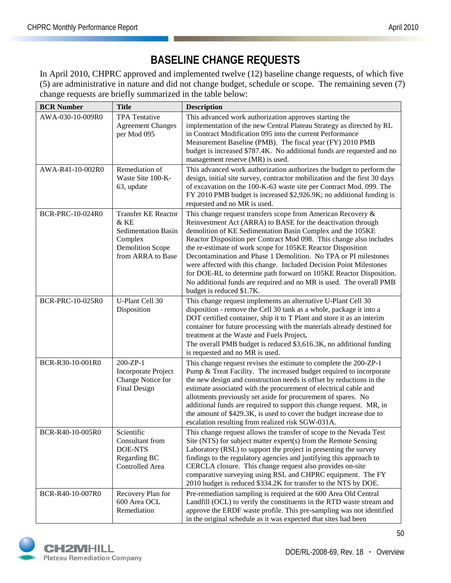# **BASELINE CHANGE REQUESTS**

In April 2010, CHPRC approved and implemented twelve (12) baseline change requests, of which five (5) are administrative in nature and did not change budget, schedule or scope. The remaining seven (7) change requests are briefly summarized in the table below:

| <b>BCR Number</b>       | <b>Title</b>                                                                                                                | <b>Description</b>                                                                                                                                                                                                                                                                                                                                                                                                                                                                                                                                                                                                                                     |
|-------------------------|-----------------------------------------------------------------------------------------------------------------------------|--------------------------------------------------------------------------------------------------------------------------------------------------------------------------------------------------------------------------------------------------------------------------------------------------------------------------------------------------------------------------------------------------------------------------------------------------------------------------------------------------------------------------------------------------------------------------------------------------------------------------------------------------------|
| AWA-030-10-009R0        | <b>TPA</b> Tentative<br><b>Agreement Changes</b><br>per Mod 095                                                             | This advanced work authorization approves starting the<br>implementation of the new Central Plateau Strategy as directed by RL<br>in Contract Modification 095 into the current Performance<br>Measurement Baseline (PMB). The fiscal year (FY) 2010 PMB<br>budget is increased \$787.4K. No additional funds are requested and no<br>management reserve (MR) is used.                                                                                                                                                                                                                                                                                 |
| AWA-R41-10-002R0        | Remediation of<br>Waste Site 100-K-<br>63, update                                                                           | This advanced work authorization authorizes the budget to perform the<br>design, initial site survey, contractor mobilization and the first 30 days<br>of excavation on the 100-K-63 waste site per Contract Mod. 099. The<br>FY 2010 PMB budget is increased \$2,926.9K; no additional funding is<br>requested and no MR is used.                                                                                                                                                                                                                                                                                                                     |
| <b>BCR-PRC-10-024R0</b> | <b>Transfer KE Reactor</b><br>& KE<br><b>Sedimentation Basin</b><br>Complex<br><b>Demolition Scope</b><br>from ARRA to Base | This change request transfers scope from American Recovery $\&$<br>Reinvestment Act (ARRA) to BASE for the deactivation through<br>demolition of KE Sedimentation Basin Complex and the 105KE<br>Reactor Disposition per Contract Mod 098. This change also includes<br>the re-estimate of work scope for 105KE Reactor Disposition<br>Decontamination and Phase 1 Demolition. No TPA or PI milestones<br>were affected with this change. Included Decision Point Milestones<br>for DOE-RL to determine path forward on 105KE Reactor Disposition.<br>No additional funds are required and no MR is used. The overall PMB<br>budget is reduced \$1.7K. |
| <b>BCR-PRC-10-025R0</b> | U-Plant Cell 30<br>Disposition                                                                                              | This change request implements an alternative U-Plant Cell 30<br>disposition - remove the Cell 30 tank as a whole, package it into a<br>DOT certified container, ship it to T Plant and store it as an interim<br>container for future processing with the materials already destined for<br>treatment at the Waste and Fuels Project.<br>The overall PMB budget is reduced \$3,616.3K, no additional funding<br>is requested and no MR is used.                                                                                                                                                                                                       |
| BCR-R30-10-001R0        | 200-ZP-1<br><b>Incorporate Project</b><br>Change Notice for<br>Final Design                                                 | This change request revises the estimate to complete the 200-ZP-1<br>Pump & Treat Facility. The increased budget required to incorporate<br>the new design and construction needs is offset by reductions in the<br>estimate associated with the procurement of electrical cable and<br>allotments previously set aside for procurement of spares. No<br>additional funds are required to support this change request. MR, in<br>the amount of \$429.3K, is used to cover the budget increase due to<br>escalation resulting from realized risk SGW-031A.                                                                                              |
| BCR-R40-10-005R0        | Scientific<br>Consultant from<br>DOE-NTS<br>Regarding BC<br>Controlled Area                                                 | This change request allows the transfer of scope to the Nevada Test<br>Site (NTS) for subject matter expert(s) from the Remote Sensing<br>Laboratory (RSL) to support the project in presenting the survey<br>findings to the regulatory agencies and justifying this approach to<br>CERCLA closure. This change request also provides on-site<br>comparative surveying using RSL and CHPRC equipment. The FY<br>2010 budget is reduced \$334.2K for transfer to the NTS by DOE.                                                                                                                                                                       |
| BCR-R40-10-007R0        | Recovery Plan for<br>600 Area OCL<br>Remediation                                                                            | Pre-remediation sampling is required at the 600 Area Old Central<br>Landfill (OCL) to verify the constituents in the RTD waste stream and<br>approve the ERDF waste profile. This pre-sampling was not identified<br>in the original schedule as it was expected that sites had been                                                                                                                                                                                                                                                                                                                                                                   |

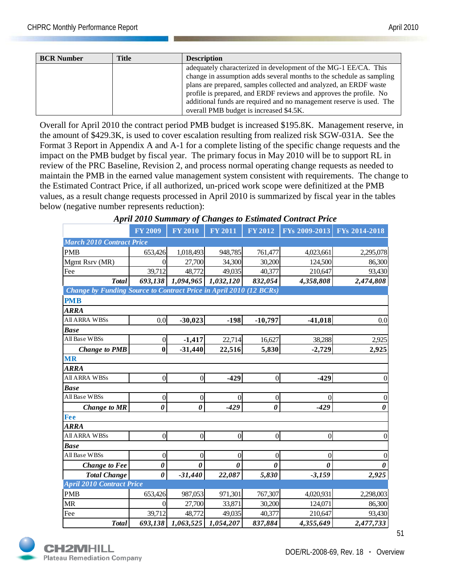| <b>BCR Number</b> | <b>Title</b> | <b>Description</b>                                                   |
|-------------------|--------------|----------------------------------------------------------------------|
|                   |              | adequately characterized in development of the MG-1 EE/CA. This      |
|                   |              | change in assumption adds several months to the schedule as sampling |
|                   |              | plans are prepared, samples collected and analyzed, an ERDF waste    |
|                   |              | profile is prepared, and ERDF reviews and approves the profile. No   |
|                   |              | additional funds are required and no management reserve is used. The |
|                   |              | overall PMB budget is increased \$4.5K.                              |

Overall for April 2010 the contract period PMB budget is increased \$195.8K. Management reserve, in the amount of \$429.3K, is used to cover escalation resulting from realized risk SGW-031A. See the Format 3 Report in Appendix A and A-1 for a complete listing of the specific change requests and the impact on the PMB budget by fiscal year. The primary focus in May 2010 will be to support RL in review of the PRC Baseline, Revision 2, and process normal operating change requests as needed to maintain the PMB in the earned value management system consistent with requirements. The change to the Estimated Contract Price, if all authorized, un-priced work scope were definitized at the PMB values, as a result change requests processed in April 2010 is summarized by fiscal year in the tables below (negative number represents reduction):

| April 2010 Summary of Changes to Estimated Contract Price          |                |                       |                |                      |                |                       |  |  |
|--------------------------------------------------------------------|----------------|-----------------------|----------------|----------------------|----------------|-----------------------|--|--|
|                                                                    | <b>FY 2009</b> | <b>FY 2010</b>        | <b>FY 2011</b> | $\overline{FY}$ 2012 | FYs 2009-2013  | FYs 2014-2018         |  |  |
| <b>March 2010 Contract Price</b>                                   |                |                       |                |                      |                |                       |  |  |
| <b>PMB</b>                                                         | 653,426        | 1,018,493             | 948,785        | 761,477              | 4,023,661      | 2,295,078             |  |  |
| Mgmt Rsrv (MR)                                                     | 0              | 27,700                | 34,300         | 30,200               | 124,500        | 86,300                |  |  |
| Fee                                                                | 39,712         | 48,772                | 49,035         | 40,377               | 210,647        | 93,430                |  |  |
| <b>Total</b>                                                       | 693,138        | 1,094,965             | 1,032,120      | 832,054              | 4,358,808      | 2,474,808             |  |  |
| Change by Funding Source to Contract Price in April 2010 (12 BCRs) |                |                       |                |                      |                |                       |  |  |
| <b>PMB</b>                                                         |                |                       |                |                      |                |                       |  |  |
| <b>ARRA</b>                                                        |                |                       |                |                      |                |                       |  |  |
| All ARRA WBSs                                                      | 0.0            | $-30,023$             | $-198$         | $-10,797$            | $-41,018$      | 0.0                   |  |  |
| <b>Base</b>                                                        |                |                       |                |                      |                |                       |  |  |
| All Base WBSs                                                      | $\overline{0}$ | $-1,417$              | 22,714         | 16,627               | 38,288         | 2,925                 |  |  |
| <b>Change to PMB</b>                                               | $\bf{0}$       | $-31,440$             | 22,516         | 5,830                | $-2,729$       | 2,925                 |  |  |
| <b>MR</b>                                                          |                |                       |                |                      |                |                       |  |  |
| <b>ARRA</b>                                                        |                |                       |                |                      |                |                       |  |  |
| All ARRA WBSs                                                      | $\overline{0}$ | $\Omega$              | $-429$         | $\Omega$             | $-429$         | $\Omega$              |  |  |
| <b>Base</b>                                                        |                |                       |                |                      |                |                       |  |  |
| All Base WBSs                                                      | $\theta$       | $\overline{0}$        | 0              | $\overline{0}$       | 0              | $\overline{0}$        |  |  |
| <b>Change to MR</b>                                                | 0              | $\boldsymbol{\theta}$ | $-429$         | $\theta$             | $-429$         | $\boldsymbol{\theta}$ |  |  |
| Fee                                                                |                |                       |                |                      |                |                       |  |  |
| <b>ARRA</b>                                                        |                |                       |                |                      |                |                       |  |  |
| <b>All ARRA WBSs</b>                                               | $\overline{0}$ | $\overline{0}$        | $\overline{0}$ | $\overline{0}$       | $\overline{0}$ | $\theta$              |  |  |
| <b>Base</b>                                                        |                |                       |                |                      |                |                       |  |  |
| All Base WBSs                                                      | $\theta$       | $\Omega$              | $\theta$       | $\theta$             | 0              |                       |  |  |
| <b>Change to Fee</b>                                               | 0              | 0                     | 0              | 0                    | 0              | 0                     |  |  |
| <b>Total Change</b>                                                | $\theta$       | $-31,440$             | 22,087         | 5,830                | $-3,159$       | 2,925                 |  |  |
| <b>April 2010 Contract Price</b>                                   |                |                       |                |                      |                |                       |  |  |
| <b>PMB</b>                                                         | 653,426        | 987,053               | 971,301        | 767,307              | 4,020,931      | 2,298,003             |  |  |
| MR                                                                 | $\Omega$       | 27,700                | 33,871         | 30,200               | 124,071        | 86,300                |  |  |
| Fee                                                                | 39,712         | 48,772                | 49,035         | 40,377               | 210,647        | 93,430                |  |  |
| <b>Total</b>                                                       | 693,138        | 1,063,525             | 1,054,207      | 837,884              | 4,355,649      | 2,477,733             |  |  |

| <b>April 2010 Summary of Changes to Estimated Contract Price</b> |  |  |  |  |
|------------------------------------------------------------------|--|--|--|--|
|------------------------------------------------------------------|--|--|--|--|

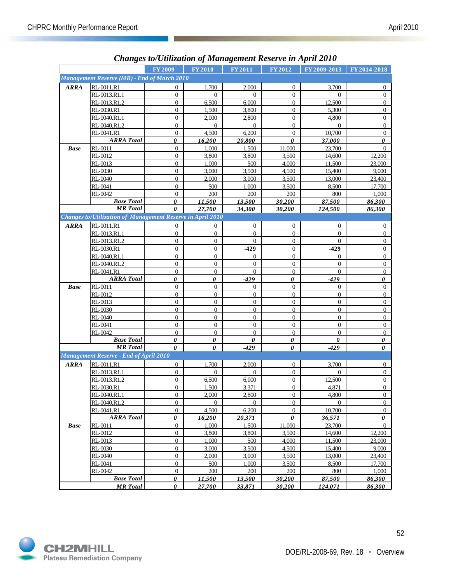|             |                                                            |                       | Changes to/Ututzation of Management Reserve in April 2010 |                  |                       |                |                  |
|-------------|------------------------------------------------------------|-----------------------|-----------------------------------------------------------|------------------|-----------------------|----------------|------------------|
|             |                                                            | <b>FY2009</b>         | <b>FY2010</b>                                             | FY 2011          | FY 2012               | FY 2009-2013   | FY 2014-2018     |
|             | Management Reserve (MR) - End of March 2010                |                       |                                                           |                  |                       |                |                  |
| <b>ARRA</b> | RL-0011.R1                                                 | $\mathbf{0}$          | 1,700                                                     | 2,000            | $\theta$              | 3,700          | 0                |
|             | RL-0013.R1.1                                               | $\mathbf{0}$          | 0                                                         | $\Omega$         | $\mathbf{0}$          | $\theta$       | $\boldsymbol{0}$ |
|             | RL-0013.R1.2                                               | $\overline{0}$        | 6,500                                                     | 6,000            | $\overline{0}$        | 12,500         | $\mathbf{0}$     |
|             | RL-0030.R1                                                 | $\boldsymbol{0}$      | 1,500                                                     | 3,800            | $\mathbf{0}$          | 5,300          | $\mathbf{0}$     |
|             | RL-0040.R1.1                                               | $\boldsymbol{0}$      | 2,000                                                     | 2,800            | $\boldsymbol{0}$      | 4,800          | $\overline{0}$   |
|             | RL-0040.R1.2                                               | $\mathbf{0}$          | $\Omega$                                                  | $\mathbf{0}$     | $\overline{0}$        | $\Omega$       | $\mathbf{0}$     |
|             | RL-0041.R1                                                 | $\mathbf{0}$          | 4,500                                                     | 6,200            | $\boldsymbol{0}$      | 10,700         | $\mathbf{0}$     |
|             | <b>ARRA</b> Total                                          | 0                     | 16,200                                                    | 20,800           | $\boldsymbol{\theta}$ | 37,000         | 0                |
| <b>Base</b> | RL-0011                                                    | $\boldsymbol{0}$      | 1,000                                                     | 1,500            | 11,000                | 23,700         | $\mathbf{0}$     |
|             | RL-0012                                                    | $\mathbf{0}$          | 3.800                                                     | 3,800            | 3,500                 | 14,600         | 12,200           |
|             | RL-0013                                                    | $\boldsymbol{0}$      | 1,000                                                     | 500              | 4,000                 | 11,500         | 23,000           |
|             | RL-0030                                                    | $\boldsymbol{0}$      | 3,000                                                     | 3,500            | 4,500                 | 15,400         | 9,000            |
|             | RL-0040                                                    | $\boldsymbol{0}$      | 2,000                                                     | 3,000            | 3,500                 | 13,000         | 23,400           |
|             | RL-0041                                                    | $\boldsymbol{0}$      | 500                                                       | 1,000            | 3,500                 | 8,500          | 17,700           |
|             | RL-0042                                                    | $\mathbf{0}$          | 200                                                       | 200              | 200                   | 800            | 1,000            |
|             | <b>Base Total</b>                                          | 0                     | 11,500                                                    | 13,500           | 30,200                | 87,500         | 86,300           |
|             | <b>MR</b> Total                                            | $\boldsymbol{\theta}$ | 27,700                                                    | 34,300           | 30,200                | 124,500        | 86,300           |
|             | Changes to/Utilization of Management Reserve in April 2010 |                       |                                                           |                  |                       |                |                  |
|             |                                                            |                       |                                                           |                  |                       |                |                  |
| <b>ARRA</b> | RL-0011.R1                                                 | $\boldsymbol{0}$      | 0                                                         | $\overline{0}$   | $\boldsymbol{0}$      | $\overline{0}$ | $\overline{0}$   |
|             | RL-0013.R1.1                                               | $\mathbf{0}$          | $\overline{0}$                                            | $\overline{0}$   | $\mathbf{0}$          | $\overline{0}$ | $\mathbf{0}$     |
|             | RL-0013.R1.2                                               | $\boldsymbol{0}$      | 0                                                         | $\mathbf{0}$     | $\boldsymbol{0}$      | $\mathbf{0}$   | $\overline{0}$   |
|             | RL-0030.R1                                                 | $\mathbf{0}$          | $\overline{0}$                                            | $-429$           | $\overline{0}$        | $-429$         | $\mathbf{0}$     |
|             | RL-0040.R1.1                                               | $\boldsymbol{0}$      | $\overline{0}$                                            | $\mathbf{0}$     | $\boldsymbol{0}$      | $\mathbf{0}$   | $\boldsymbol{0}$ |
|             | RL-0040.R1.2                                               | $\boldsymbol{0}$      | $\overline{0}$                                            | $\mathbf{0}$     | $\mathbf{0}$          | $\mathbf{0}$   | $\mathbf{0}$     |
|             | RL-0041.R1                                                 | $\mathbf{0}$          | 0                                                         | $\boldsymbol{0}$ | $\mathbf{0}$          | $\overline{0}$ | $\boldsymbol{0}$ |
|             | <b>ARRA Total</b>                                          | $\boldsymbol{\theta}$ | 0                                                         | $-429$           | 0                     | $-429$         | $\pmb{\theta}$   |
| <b>Base</b> | RL-0011                                                    | $\mathbf{0}$          | $\overline{0}$                                            | $\mathbf{0}$     | $\boldsymbol{0}$      | $\Omega$       | $\mathbf{0}$     |
|             | RL-0012                                                    | $\boldsymbol{0}$      | 0                                                         | $\overline{0}$   | $\mathbf{0}$          | $\overline{0}$ | $\overline{0}$   |
|             | RL-0013                                                    | $\mathbf{0}$          | $\overline{0}$                                            | $\overline{0}$   | $\overline{0}$        | $\Omega$       | $\mathbf{0}$     |
|             | RL-0030                                                    | $\boldsymbol{0}$      | $\overline{0}$                                            | $\boldsymbol{0}$ | $\boldsymbol{0}$      | $\overline{0}$ | $\mathbf{0}$     |
|             | RL-0040                                                    | $\mathbf{0}$          | $\overline{0}$                                            | $\mathbf{0}$     | $\mathbf{0}$          | $\mathbf{0}$   | $\mathbf{0}$     |
|             | RL-0041                                                    | $\mathbf{0}$          | 0                                                         | $\mathbf{0}$     | $\boldsymbol{0}$      | $\mathbf{0}$   | $\overline{0}$   |
|             | RL-0042                                                    | $\theta$              | $\overline{0}$                                            | $\mathbf{0}$     | $\mathbf{0}$          | $\overline{0}$ | $\overline{0}$   |
|             | <b>Base Total</b><br><b>MR</b> Total                       | $\boldsymbol{\theta}$ | 0                                                         | 0                | $\boldsymbol{\theta}$ | 0              | 0                |
|             |                                                            | $\theta$              | 0                                                         | $-429$           | $\boldsymbol{\theta}$ | $-429$         | 0                |
|             | <b>Management Reserve - End of April 2010</b>              |                       |                                                           |                  |                       |                |                  |
| <b>ARRA</b> | RL-0011.R1                                                 | $\boldsymbol{0}$      | 1,700                                                     | 2,000            | $\mathbf{0}$          | 3,700          | 0                |
|             | RL-0013.R1.1                                               | $\mathbf{0}$          | $\Omega$                                                  | $\Omega$         | $\mathbf{0}$          | $\Omega$       | $\mathbf{0}$     |
|             | RL-0013.R1.2                                               | $\overline{0}$        | 6,500                                                     | 6,000            | $\overline{0}$        | 12,500         | $\boldsymbol{0}$ |
|             | RL-0030.R1                                                 | $\boldsymbol{0}$      | 1,500                                                     | 3,371            | $\boldsymbol{0}$      | 4,871          | $\mathbf{0}$     |
|             | RL-0040.R1.1                                               | $\mathbf{0}$          | 2,000                                                     | 2.800            | 0                     | 4,800          | 0                |
|             | RL-0040.R1.2                                               | $\boldsymbol{0}$      | $\overline{0}$                                            | $\overline{0}$   | $\boldsymbol{0}$      | $\Omega$       | $\mathbf{0}$     |
|             | RL-0041.R1                                                 | $\boldsymbol{0}$      | 4,500                                                     | 6,200            | $\mathbf{0}$          | 10,700         | $\boldsymbol{0}$ |
|             | <b>ARRA</b> Total                                          | 0                     | 16,200                                                    | 20,371           | 0                     | 36,571         | 0                |
| <b>Base</b> | RL-0011                                                    | $\boldsymbol{0}$      | 1,000                                                     | 1,500            | 11,000                | 23,700         | $\overline{0}$   |
|             | RL-0012                                                    | $\boldsymbol{0}$      | 3,800                                                     | 3,800            | 3,500                 | 14,600         | 12,200           |
|             | RL-0013                                                    | $\boldsymbol{0}$      | 1,000                                                     | 500              | 4,000                 | 11,500         | 23,000           |
|             | RL-0030                                                    | $\boldsymbol{0}$      | 3,000                                                     | 3,500            | 4,500                 | 15,400         | 9,000            |
|             | RL-0040                                                    | $\boldsymbol{0}$      | 2,000                                                     | 3,000            | 3,500                 | 13,000         | 23,400           |
|             | RL-0041                                                    | $\boldsymbol{0}$      | 500                                                       | 1,000            | 3,500                 | 8,500          | 17,700           |
|             | RL-0042                                                    | $\boldsymbol{0}$      | 200                                                       | 200              | 200                   | 800            | 1,000            |
|             | <b>Base Total</b>                                          | 0                     | 11,500                                                    | 13,500           | 30,200                | 87,500         | 86,300           |
|             | <b>MR</b> Total                                            | $\pmb{\theta}$        | 27,700                                                    | 33,871           | 30,200                | 124,071        | 86,300           |

## *Changes to/Utilization of Management Reserve in April 2010*